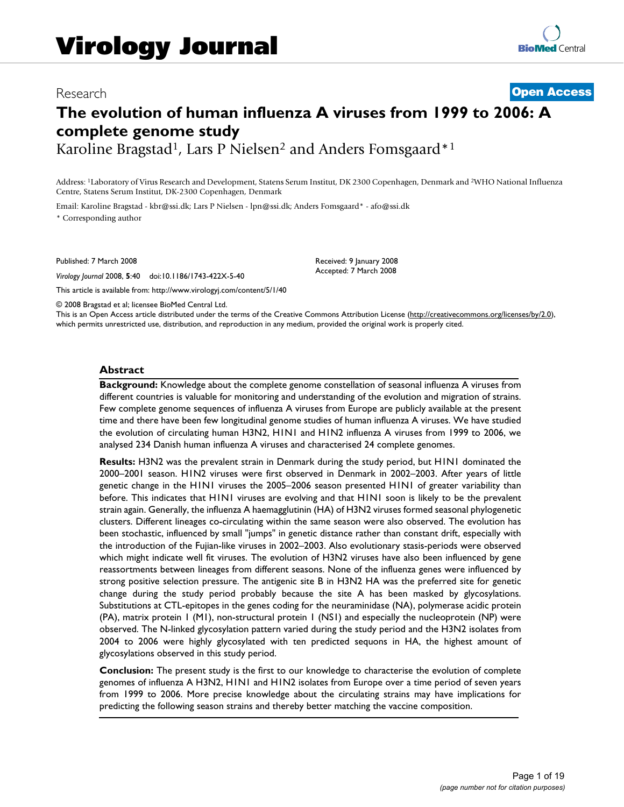# Research **[Open Access](http://www.biomedcentral.com/info/about/charter/)**

# **The evolution of human influenza A viruses from 1999 to 2006: A complete genome study**

Karoline Bragstad<sup>1</sup>, Lars P Nielsen<sup>2</sup> and Anders Fomsgaard<sup>\*1</sup>

Address: 1Laboratory of Virus Research and Development, Statens Serum Institut, DK 2300 Copenhagen, Denmark and 2WHO National Influenza Centre, Statens Serum Institut, DK-2300 Copenhagen, Denmark

Email: Karoline Bragstad - kbr@ssi.dk; Lars P Nielsen - lpn@ssi.dk; Anders Fomsgaard\* - afo@ssi.dk \* Corresponding author

Published: 7 March 2008

*Virology Journal* 2008, **5**:40 doi:10.1186/1743-422X-5-40

[This article is available from: http://www.virologyj.com/content/5/1/40](http://www.virologyj.com/content/5/1/40)

Received: 9 January 2008 Accepted: 7 March 2008

© 2008 Bragstad et al; licensee BioMed Central Ltd.

This is an Open Access article distributed under the terms of the Creative Commons Attribution License [\(http://creativecommons.org/licenses/by/2.0\)](http://creativecommons.org/licenses/by/2.0), which permits unrestricted use, distribution, and reproduction in any medium, provided the original work is properly cited.

#### **Abstract**

**Background:** Knowledge about the complete genome constellation of seasonal influenza A viruses from different countries is valuable for monitoring and understanding of the evolution and migration of strains. Few complete genome sequences of influenza A viruses from Europe are publicly available at the present time and there have been few longitudinal genome studies of human influenza A viruses. We have studied the evolution of circulating human H3N2, H1N1 and H1N2 influenza A viruses from 1999 to 2006, we analysed 234 Danish human influenza A viruses and characterised 24 complete genomes.

**Results:** H3N2 was the prevalent strain in Denmark during the study period, but H1N1 dominated the 2000–2001 season. H1N2 viruses were first observed in Denmark in 2002–2003. After years of little genetic change in the H1N1 viruses the 2005–2006 season presented H1N1 of greater variability than before. This indicates that H1N1 viruses are evolving and that H1N1 soon is likely to be the prevalent strain again. Generally, the influenza A haemagglutinin (HA) of H3N2 viruses formed seasonal phylogenetic clusters. Different lineages co-circulating within the same season were also observed. The evolution has been stochastic, influenced by small "jumps" in genetic distance rather than constant drift, especially with the introduction of the Fujian-like viruses in 2002–2003. Also evolutionary stasis-periods were observed which might indicate well fit viruses. The evolution of H3N2 viruses have also been influenced by gene reassortments between lineages from different seasons. None of the influenza genes were influenced by strong positive selection pressure. The antigenic site B in H3N2 HA was the preferred site for genetic change during the study period probably because the site A has been masked by glycosylations. Substitutions at CTL-epitopes in the genes coding for the neuraminidase (NA), polymerase acidic protein (PA), matrix protein 1 (M1), non-structural protein 1 (NS1) and especially the nucleoprotein (NP) were observed. The N-linked glycosylation pattern varied during the study period and the H3N2 isolates from 2004 to 2006 were highly glycosylated with ten predicted sequons in HA, the highest amount of glycosylations observed in this study period.

**Conclusion:** The present study is the first to our knowledge to characterise the evolution of complete genomes of influenza A H3N2, H1N1 and H1N2 isolates from Europe over a time period of seven years from 1999 to 2006. More precise knowledge about the circulating strains may have implications for predicting the following season strains and thereby better matching the vaccine composition.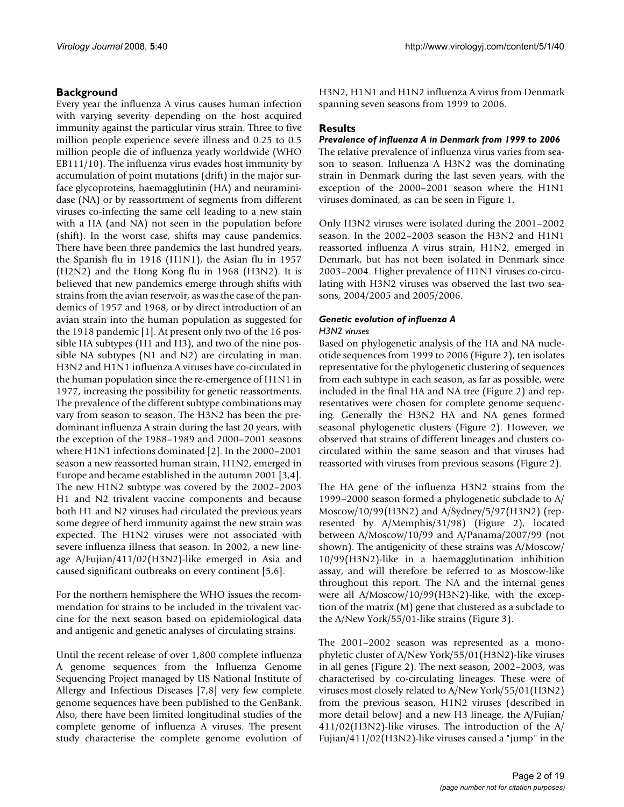# **Background**

Every year the influenza A virus causes human infection with varying severity depending on the host acquired immunity against the particular virus strain. Three to five million people experience severe illness and 0.25 to 0.5 million people die of influenza yearly worldwide (WHO EB111/10). The influenza virus evades host immunity by accumulation of point mutations (drift) in the major surface glycoproteins, haemagglutinin (HA) and neuraminidase (NA) or by reassortment of segments from different viruses co-infecting the same cell leading to a new stain with a HA (and NA) not seen in the population before (shift). In the worst case, shifts may cause pandemics. There have been three pandemics the last hundred years, the Spanish flu in 1918 (H1N1), the Asian flu in 1957 (H2N2) and the Hong Kong flu in 1968 (H3N2). It is believed that new pandemics emerge through shifts with strains from the avian reservoir, as was the case of the pandemics of 1957 and 1968, or by direct introduction of an avian strain into the human population as suggested for the 1918 pandemic [1]. At present only two of the 16 possible HA subtypes (H1 and H3), and two of the nine possible NA subtypes (N1 and N2) are circulating in man. H3N2 and H1N1 influenza A viruses have co-circulated in the human population since the re-emergence of H1N1 in 1977, increasing the possibility for genetic reassortments. The prevalence of the different subtype combinations may vary from season to season. The H3N2 has been the predominant influenza A strain during the last 20 years, with the exception of the 1988–1989 and 2000–2001 seasons where H1N1 infections dominated [2]. In the 2000–2001 season a new reassorted human strain, H1N2, emerged in Europe and became established in the autumn 2001 [3,4]. The new H1N2 subtype was covered by the 2002–2003 H1 and N2 trivalent vaccine components and because both H1 and N2 viruses had circulated the previous years some degree of herd immunity against the new strain was expected. The H1N2 viruses were not associated with severe influenza illness that season. In 2002, a new lineage A/Fujian/411/02(H3N2)-like emerged in Asia and caused significant outbreaks on every continent [5,6].

For the northern hemisphere the WHO issues the recommendation for strains to be included in the trivalent vaccine for the next season based on epidemiological data and antigenic and genetic analyses of circulating strains.

Until the recent release of over 1,800 complete influenza A genome sequences from the Influenza Genome Sequencing Project managed by US National Institute of Allergy and Infectious Diseases [7,8] very few complete genome sequences have been published to the GenBank. Also, there have been limited longitudinal studies of the complete genome of influenza A viruses. The present study characterise the complete genome evolution of H3N2, H1N1 and H1N2 influenza A virus from Denmark spanning seven seasons from 1999 to 2006.

# **Results**

# *Prevalence of influenza A in Denmark from 1999 to 2006*

The relative prevalence of influenza virus varies from season to season. Influenza A H3N2 was the dominating strain in Denmark during the last seven years, with the exception of the 2000–2001 season where the H1N1 viruses dominated, as can be seen in Figure 1.

Only H3N2 viruses were isolated during the 2001–2002 season. In the 2002–2003 season the H3N2 and H1N1 reassorted influenza A virus strain, H1N2, emerged in Denmark, but has not been isolated in Denmark since 2003–2004. Higher prevalence of H1N1 viruses co-circulating with H3N2 viruses was observed the last two seasons, 2004/2005 and 2005/2006.

# *Genetic evolution of influenza A*

#### *H3N2 viruses*

Based on phylogenetic analysis of the HA and NA nucleotide sequences from 1999 to 2006 (Figure 2), ten isolates representative for the phylogenetic clustering of sequences from each subtype in each season, as far as possible, were included in the final HA and NA tree (Figure 2) and representatives were chosen for complete genome sequencing. Generally the H3N2 HA and NA genes formed seasonal phylogenetic clusters (Figure 2). However, we observed that strains of different lineages and clusters cocirculated within the same season and that viruses had reassorted with viruses from previous seasons (Figure 2).

The HA gene of the influenza H3N2 strains from the 1999–2000 season formed a phylogenetic subclade to A/ Moscow/10/99(H3N2) and A/Sydney/5/97(H3N2) (represented by A/Memphis/31/98) (Figure 2), located between A/Moscow/10/99 and A/Panama/2007/99 (not shown). The antigenicity of these strains was A/Moscow/ 10/99(H3N2)-like in a haemagglutination inhibition assay, and will therefore be referred to as Moscow-like throughout this report. The NA and the internal genes were all A/Moscow/10/99(H3N2)-like, with the exception of the matrix (M) gene that clustered as a subclade to the A/New York/55/01-like strains (Figure 3).

The 2001–2002 season was represented as a monophyletic cluster of A/New York/55/01(H3N2)-like viruses in all genes (Figure 2). The next season, 2002–2003, was characterised by co-circulating lineages. These were of viruses most closely related to A/New York/55/01(H3N2) from the previous season, H1N2 viruses (described in more detail below) and a new H3 lineage, the A/Fujian/ 411/02(H3N2)-like viruses. The introduction of the A/ Fujian/411/02(H3N2)-like viruses caused a "jump" in the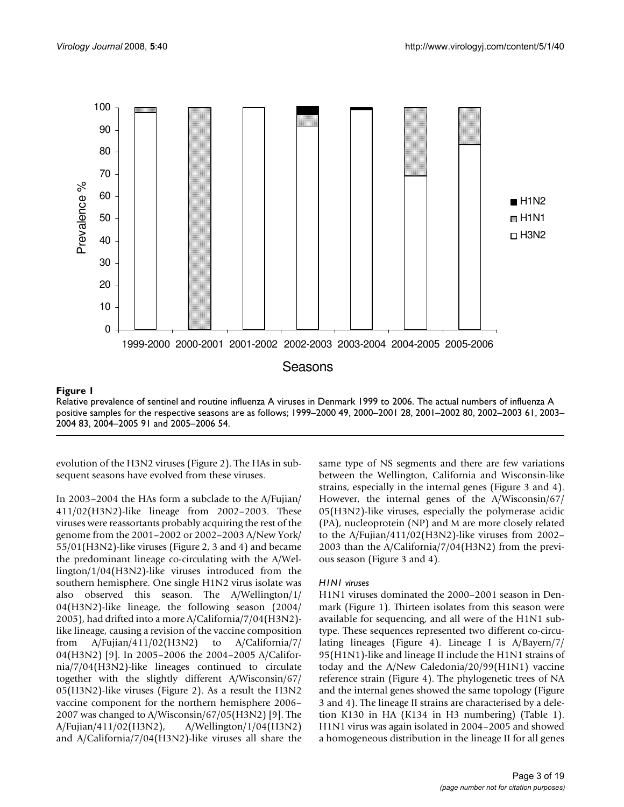

#### Relative prevalence of sentinel and routin **Figure 1** e influenza A viruses in Denmark 1999 to 2006

Relative prevalence of sentinel and routine influenza A viruses in Denmark 1999 to 2006. The actual numbers of influenza A positive samples for the respective seasons are as follows; 1999–2000 49, 2000–2001 28, 2001–2002 80, 2002–2003 61, 2003– 2004 83, 2004–2005 91 and 2005–2006 54.

evolution of the H3N2 viruses (Figure 2). The HAs in subsequent seasons have evolved from these viruses.

In 2003–2004 the HAs form a subclade to the A/Fujian/ 411/02(H3N2)-like lineage from 2002–2003. These viruses were reassortants probably acquiring the rest of the genome from the 2001–2002 or 2002–2003 A/New York/ 55/01(H3N2)-like viruses (Figure 2, 3 and 4) and became the predominant lineage co-circulating with the A/Wellington/1/04(H3N2)-like viruses introduced from the southern hemisphere. One single H1N2 virus isolate was also observed this season. The A/Wellington/1/ 04(H3N2)-like lineage, the following season (2004/ 2005), had drifted into a more A/California/7/04(H3N2) like lineage, causing a revision of the vaccine composition from A/Fujian/411/02(H3N2) to A/California/7/ 04(H3N2) [9]. In 2005–2006 the 2004–2005 A/California/7/04(H3N2)-like lineages continued to circulate together with the slightly different A/Wisconsin/67/ 05(H3N2)-like viruses (Figure 2). As a result the H3N2 vaccine component for the northern hemisphere 2006– 2007 was changed to A/Wisconsin/67/05(H3N2) [9]. The A/Fujian/411/02(H3N2), A/Wellington/1/04(H3N2) and A/California/7/04(H3N2)-like viruses all share the same type of NS segments and there are few variations between the Wellington, California and Wisconsin-like strains, especially in the internal genes (Figure 3 and 4). However, the internal genes of the A/Wisconsin/67/ 05(H3N2)-like viruses, especially the polymerase acidic (PA), nucleoprotein (NP) and M are more closely related to the A/Fujian/411/02(H3N2)-like viruses from 2002– 2003 than the A/California/7/04(H3N2) from the previous season (Figure 3 and 4).

# *H1N1 viruses*

H1N1 viruses dominated the 2000–2001 season in Denmark (Figure 1). Thirteen isolates from this season were available for sequencing, and all were of the H1N1 subtype. These sequences represented two different co-circulating lineages (Figure 4). Lineage I is A/Bayern/7/ 95(H1N1)-like and lineage II include the H1N1 strains of today and the A/New Caledonia/20/99(H1N1) vaccine reference strain (Figure 4). The phylogenetic trees of NA and the internal genes showed the same topology (Figure 3 and 4). The lineage II strains are characterised by a deletion K130 in HA (K134 in H3 numbering) (Table 1). H1N1 virus was again isolated in 2004–2005 and showed a homogeneous distribution in the lineage II for all genes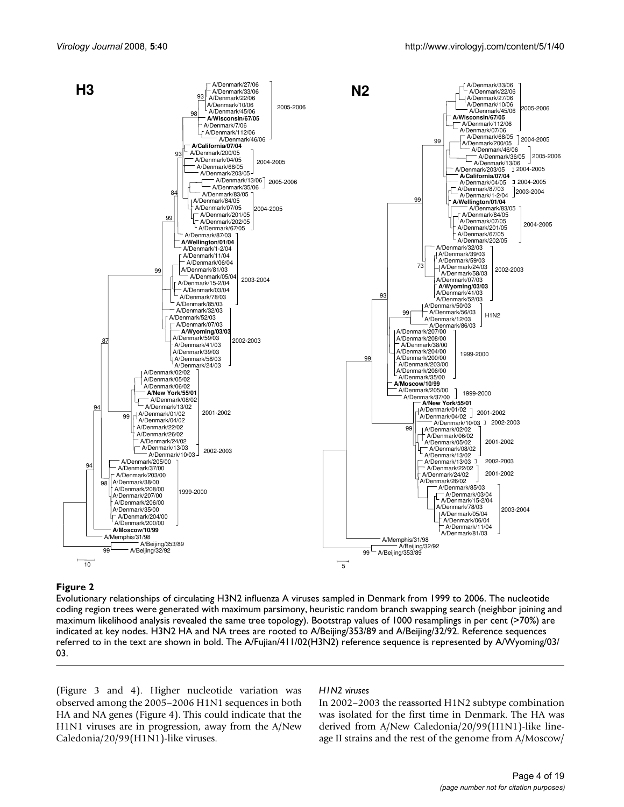

#### Evolutionary relationships of circulating H3N2 in **Figure 2** fluenza A viruses sampled in Denmark from 1999 to 2006

Evolutionary relationships of circulating H3N2 influenza A viruses sampled in Denmark from 1999 to 2006. The nucleotide coding region trees were generated with maximum parsimony, heuristic random branch swapping search (neighbor joining and maximum likelihood analysis revealed the same tree topology). Bootstrap values of 1000 resamplings in per cent (>70%) are indicated at key nodes. H3N2 HA and NA trees are rooted to A/Beijing/353/89 and A/Beijing/32/92. Reference sequences referred to in the text are shown in bold. The A/Fujian/411/02(H3N2) reference sequence is represented by A/Wyoming/03/ 03.

(Figure 3 and 4). Higher nucleotide variation was observed among the 2005–2006 H1N1 sequences in both HA and NA genes (Figure 4). This could indicate that the H1N1 viruses are in progression, away from the A/New Caledonia/20/99(H1N1)-like viruses.

#### *H1N2 viruses*

In 2002–2003 the reassorted H1N2 subtype combination was isolated for the first time in Denmark. The HA was derived from A/New Caledonia/20/99(H1N1)-like lineage II strains and the rest of the genome from A/Moscow/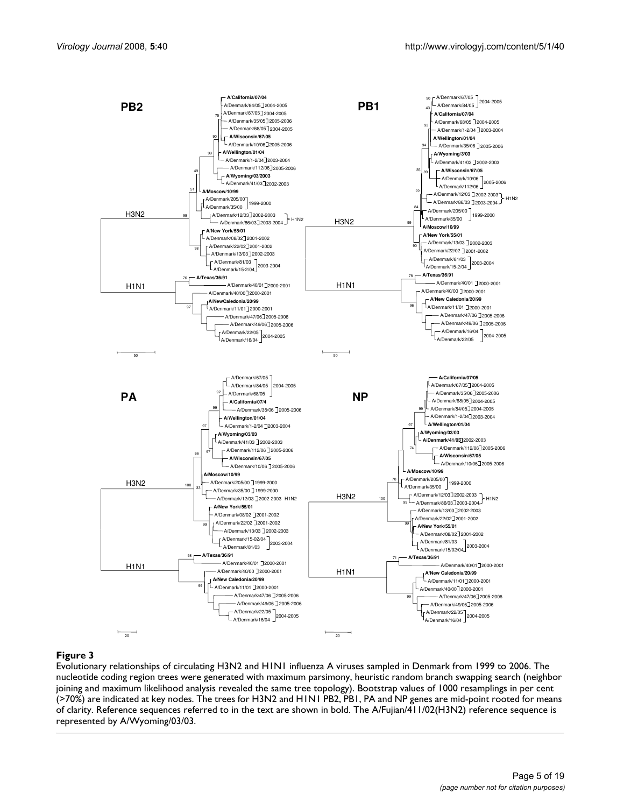

#### Evolutionary relationships of circulating H3N2 and H1N1 **Figure 3** influenza A viruses sampled in Denmark from 1999 to 2006

Evolutionary relationships of circulating H3N2 and H1N1 influenza A viruses sampled in Denmark from 1999 to 2006. The nucleotide coding region trees were generated with maximum parsimony, heuristic random branch swapping search (neighbor joining and maximum likelihood analysis revealed the same tree topology). Bootstrap values of 1000 resamplings in per cent (>70%) are indicated at key nodes. The trees for H3N2 and H1N1 PB2, PB1, PA and NP genes are mid-point rooted for means of clarity. Reference sequences referred to in the text are shown in bold. The A/Fujian/411/02(H3N2) reference sequence is represented by A/Wyoming/03/03.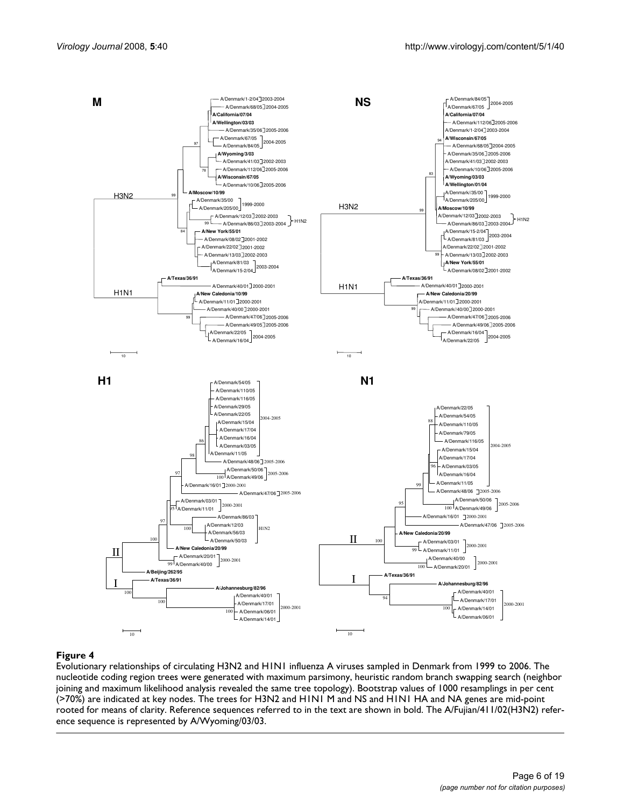

#### Evolutionary relationships of circulating H3N2 and H1N1 **Figure 4** influenza A viruses sampled in Denmark from 1999 to 2006

Evolutionary relationships of circulating H3N2 and H1N1 influenza A viruses sampled in Denmark from 1999 to 2006. The nucleotide coding region trees were generated with maximum parsimony, heuristic random branch swapping search (neighbor joining and maximum likelihood analysis revealed the same tree topology). Bootstrap values of 1000 resamplings in per cent (>70%) are indicated at key nodes. The trees for H3N2 and H1N1 M and NS and H1N1 HA and NA genes are mid-point rooted for means of clarity. Reference sequences referred to in the text are shown in bold. The A/Fujian/411/02(H3N2) reference sequence is represented by A/Wyoming/03/03.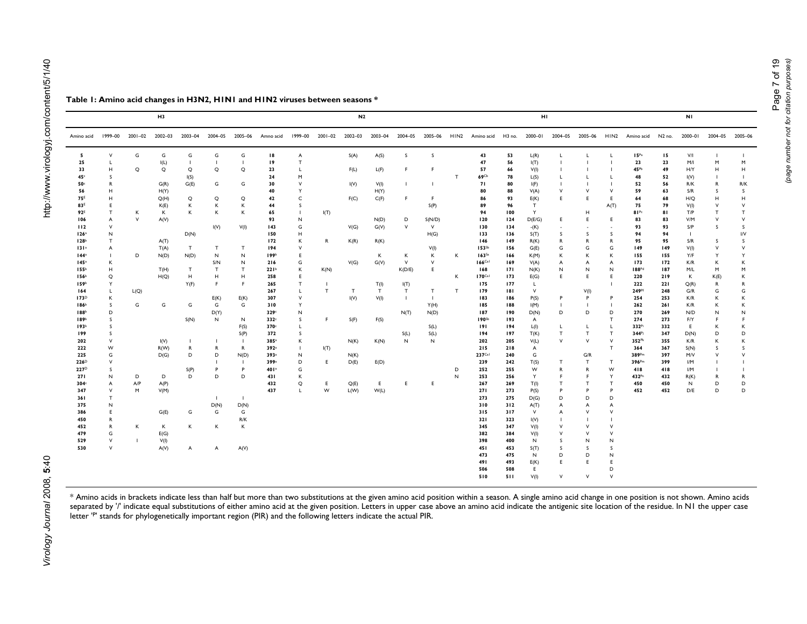| Amino acid       | 1999-00        | 2001-02        | 2002-03 | 2003-04        | 2004-05      | 2005-06     | Amno acid         |              | 1999-00 2001-02 2002-03 |              | 2003-04 |                | 2004-05 2005-06 |   | HIN2 Amino acid      |     | H3 no. 2000-01 |                |                          |                | 2004-05 2005-06 HIN2 Amino acid | N2 no. | 2000-01      | 2004-05      | $2005 - 06$  |
|------------------|----------------|----------------|---------|----------------|--------------|-------------|-------------------|--------------|-------------------------|--------------|---------|----------------|-----------------|---|----------------------|-----|----------------|----------------|--------------------------|----------------|---------------------------------|--------|--------------|--------------|--------------|
| 5                | v              | G              | G       | G              | G            | G           | 18                | Α            |                         | S(A)         | A(S)    | s              | s               |   | 43                   | 53  | L(R)           | L.             | L                        | L              | 15 <sup>p</sup> a               | 15     | V/I          |              |              |
| 25               |                |                | I(L)    | $\blacksquare$ | J.           |             | 19                | $\mathsf{T}$ |                         |              |         |                |                 |   | 47                   | 56  | I(T)           |                | $\overline{\phantom{a}}$ |                | 23                              | 23     | M/I          | M            | M            |
| 33               | н              | Q              | Q       | Q              | Q            | Q           | 23                | L            |                         | F(L)         | L(F)    | F.             | F               |   | 57                   | 66  | V(I)           |                |                          |                | 45 <sup>Pb</sup>                | 49     | H/Y          | н            | н            |
| 45 <sup>c</sup>  | s              |                |         | I(S)           |              |             | 24                | M            |                         |              |         |                |                 | T | 69 <sup>Cb</sup>     | 78  | L(S)           | L.             | L                        | L              | 48                              | 52     | I(V)         | $\mathbf{I}$ |              |
| 50               | R              |                | G(R)    | G(E)           | G            | G           | 30                | $\vee$       |                         | I(V)         | V(I)    | -1             |                 |   | 71                   | 80  | I(F)           | $\blacksquare$ | -1                       | $\mathbf{I}$   | 52                              | 56     | R/K          | R            | R/K          |
| 56               | H              |                | H(Y)    |                |              |             | 40                | Y            |                         |              | H(Y)    |                |                 |   | 80                   | 88  | V(A)           | $\vee$         | $\vee$                   | $\vee$         | 59                              | 63     | S/R          | s            | <sub>S</sub> |
| <b>75E</b>       | н              |                | Q(H)    | Q              | Q            | Q           | 42                | $\mathsf{C}$ |                         | F(C)         | C(F)    | F              | F.              |   | 86                   | 93  | E(K)           | E.             | E                        | E              | 64                              | 68     | H/Q          | н            | н            |
| 83E              | Ε              |                | K(E)    | К              | К            | К           | 44                | s            |                         |              |         |                | S(P)            |   | 89                   | 96  | T              |                |                          | A(T)           | 75                              | 79     | V(I)         | V            | $\vee$       |
| 92 <sup>E</sup>  | T              | κ              | К       | Κ              | κ            | К           | 65                | $\mathbf{I}$ | I(T)                    |              |         |                |                 |   | 94                   | 100 | Υ              |                | H                        |                | 81Pc                            | 81     | T/P          | $\mathsf T$  | $\mathsf{T}$ |
| 106              | A              | $\mathsf{V}$   | A(V)    |                |              |             | 93                | $\sf N$      |                         |              | N(D)    | D              | S(N/D)          |   | 120                  | 124 | D(E/G)         | E.             | $\mathsf E$              | E              | 83                              | 83     | V/M          | $\mathsf{V}$ | V            |
| 112              | V              |                |         |                | I(V)         | V(I)        | 143               | G            |                         | V(G)         | G(V)    | V              | $\vee$          |   | 130                  | 134 | $-(K)$         |                | $\overline{\phantom{a}}$ |                | 93                              | 93     | S/P          | s            | s            |
| 126 <sup>a</sup> | N              |                |         | D(N)           |              |             | 150               | H            |                         |              |         |                | H(G)            |   | 133                  | 136 | S(T)           | s              | s                        | s              | 94                              | 94     | $\mathbf{I}$ |              | I/V          |
| 128b             | Т              |                | A(T)    |                |              |             | 172               | К            | R                       | K(R)         | R(K)    |                |                 |   | 146                  | 149 |                | R              | R                        | R              | 95                              | 95     | S/R          | s            | s            |
| 131 <sup>a</sup> | A              |                | T(A)    | T              | т            | T           | 194               | $\vee$       |                         |              |         |                | V(I)            |   | 153 <sup>Sb</sup>    | 156 | R(K)<br>G(E)   | G              | G                        | G              | 149                             | 149    | V(I)         | $\vee$       | $\vee$       |
| 144 <sup>a</sup> | $\blacksquare$ | D              | N(D)    | N(D)           | N            | $\mathsf N$ | 199 <sup>b</sup>  | Ε            |                         |              | к       | к              | К               | К | $163$ <sup>Sa</sup>  | 166 |                | Κ              | К                        | к              | 155                             | 155    | Y/F          | Y            | Υ            |
| 145 <sup>a</sup> | К              |                |         |                | S/N          | N           | 216               | G            |                         | V(G)         | G(V)    | $\mathsf{v}$   | $\vee$          |   | $166$ Cal            | 169 | K(M)<br>V(A)   | A              | A                        | A              | 173                             | 172    | K/R          | к            | κ            |
| 155b             | н              |                | T(H)    | T              | $\mathsf T$  | T           | 221 <sup>b</sup>  | К            | K(N)                    |              |         | K(D/E)         | E               |   | 168                  | 171 |                | N              | N                        | N              | <b>188Pd</b>                    | 187    | M/L          | M            | M            |
| 156 <sup>b</sup> | Q              |                | H(Q)    | H              | н            | н           | 258               | E            |                         |              |         |                |                 | К | $170$ <sup>Cal</sup> | 173 | N(K)<br>E(G)   | E              | E                        | E              | 220                             | 219    | Κ            | K(E)         | κ            |
| 159b             | Y              |                |         | Y(F)           | F.           | F           | 265               | $\mathsf{T}$ | $\mathbf{I}$            |              | T(I)    | I(T)           |                 |   | 175                  | 177 | L.             |                |                          |                | 222                             | 221    | Q(R)         | R            | R            |
| 164              | Г              | L(Q)           |         |                |              |             | 267               | L            | $\mathsf T$             | $\mathsf{T}$ | T       | $\top$         | $\mathsf T$     | Т | 179                  | 181 | V              |                | V(I)                     |                | 249 <sup>Pf</sup>               | 248    | G/R          | G            | G            |
| 173 <sup>D</sup> | К              |                |         |                | E(K)         | E(K)        | 307               | V            |                         | I(V)         | V(I)    | $\blacksquare$ | $\overline{1}$  |   | 183                  | 186 | P(S)           | P              | $\mathsf{P}$             | P              | 254                             | 253    | K/R          | К            | κ            |
| 186 <sup>b</sup> | s              | G              | G       | G              | G            | G           | 310               | Y            |                         |              |         |                | Y(H)            |   | 185                  | 188 | I(M)           |                | $\blacksquare$           | $\blacksquare$ | 262                             | 261    | K/R          | К            | K            |
| 188b             | D              |                |         |                | D(Y)         |             | 329€              | N            |                         |              |         | N(T)           | N(D)            |   | 187                  | 190 | D(N)           | D              | D                        | D              | 270                             | 269    | N/D          | N            | N            |
| 189 <sup>b</sup> | s              |                |         | S(N)           | $\mathsf{N}$ | N           | 332 <sup>c</sup>  | s            | F.                      | S(F)         | F(S)    |                |                 |   | 190 <sup>5b</sup>    | 193 | A              |                |                          | $\mathsf{T}$   | 274                             | 273    | F/Y          | F            | F            |
| 193b             |                |                |         |                |              | F(S)        | 370 <sup>c</sup>  |              |                         |              |         |                | S(L)            |   | 191                  | 194 | L(I)           | L.             | L                        | L.             | 332Pi                           | 332    | E.           | К            | К            |
| 199              | s              |                |         |                |              | S(P)        | 372               | S            |                         |              |         | S(L)           | S(L)            |   | 194                  | 197 | T(K)           | $\mathsf{T}$   | T                        | т              | 344Pj                           | 347    | D(N)         | D            | D            |
| 202              | $\vee$         |                | I(V)    | п.             | H.           |             | 385 <sup>a</sup>  | К            |                         | N(K)         | K(N)    | N              | ${\sf N}$       |   | 202                  | 205 | V(L)           | $\vee$         | $\vee$                   | $\vee$         | 352 <sup>Pk</sup>               | 355    | K/R          | K            | К            |
| 222              | W              |                | R(W)    | R              | R            | R           | 392 <sup>3</sup>  | $\mathbf{I}$ | I(T)                    |              |         |                |                 |   | 215                  | 218 | A              |                |                          | T              | 364                             | 367    | S(N)         | S            | s            |
| 225              | G              |                | D(G)    | D              | D            | N(D)        | 393ª              | $\sf N$      |                         | N(K)         |         |                |                 |   | 237Cal               | 240 | G              |                | G/R                      |                | 389Pm                           | 397    | M/V          | $\vee$       | V            |
| 226 <sup>D</sup> | $\vee$         |                |         |                |              |             | 399ª              | D            | E.                      | D(E)         | E(D)    |                |                 |   | 239                  | 242 | T(S)           | т              | T                        | T              | 396Pm                           | 399    | I/M          |              |              |
| 227 <sup>D</sup> | s              |                |         | S(P)           | P            | P           | 40 l <sup>a</sup> | G            |                         |              |         |                |                 | D | 252                  | 255 | W              | R              | R                        | W              | 418                             | 418    | I/M          |              |              |
| 271              | N              | D              | D       | D              | D            | D           | 431               | К            |                         |              |         |                |                 | N | 253                  | 256 | Y              | F.             | F.                       | Y              | 432Pn                           | 432    | R(K)         | R            | R            |
| 304 <sup>c</sup> | A              | A/P            | A(P)    |                |              |             | 432               | Q            | E                       | Q(E)         | E.      | E              | E.              |   | 267                  | 269 | T(I)           | т              | T                        | т              | 450                             | 450    | N            | D            | D            |
| 347              | V              | M              | V(M)    |                |              |             | 437               | L            | W                       | L(W)         | W(L)    |                |                 |   | 271                  | 273 | P(S)           | P              | P                        | P              | 452                             | 452    | D/E          | D            | D            |
| 361              | $\mathsf{T}$   |                |         |                | -11          |             |                   |              |                         |              |         |                |                 |   | 273                  | 275 | D(G)           | D              | D                        | D              |                                 |        |              |              |              |
| 375              | N              |                |         |                | D(N)         | D(N)        |                   |              |                         |              |         |                |                 |   | 310                  | 312 | A(T)           | A              | A                        | A              |                                 |        |              |              |              |
| 386              | E              |                | G(E)    | G              | G            | G           |                   |              |                         |              |         |                |                 |   | 315                  | 317 | $\vee$         | A              | $\mathsf{V}$             | $\vee$         |                                 |        |              |              |              |
| 450              | R              |                |         |                |              | R/K         |                   |              |                         |              |         |                |                 |   | 321                  | 323 | I(V)           |                | - 1                      |                |                                 |        |              |              |              |
| 452              | R              | κ              | К       | Κ              | Κ            | К           |                   |              |                         |              |         |                |                 |   | 345                  | 347 | V(I)           | $\vee$         | $\vee$                   | $\vee$         |                                 |        |              |              |              |
| 479              | G              |                | E(G)    |                |              |             |                   |              |                         |              |         |                |                 |   | 382                  | 384 | V(I)           | $\vee$         | $\vee$                   | $\vee$         |                                 |        |              |              |              |
| 529              | V              | $\blacksquare$ | V(I)    |                |              |             |                   |              |                         |              |         |                |                 |   | 398                  | 400 | N              | s              | N                        | N              |                                 |        |              |              |              |
| 530              | $\vee$         |                | A(V)    | Α              | A            | A(V)        |                   |              |                         |              |         |                |                 |   | 45 I                 | 453 | S(T)           | s              | S                        | s              |                                 |        |              |              |              |
|                  |                |                |         |                |              |             |                   |              |                         |              |         |                |                 |   | 473                  | 475 | N              | D              | D                        | N              |                                 |        |              |              |              |
|                  |                |                |         |                |              |             |                   |              |                         |              |         |                |                 |   | 491                  | 493 | E(K)           | E              | E                        | E              |                                 |        |              |              |              |
|                  |                |                |         |                |              |             |                   |              |                         |              |         |                |                 |   | 506                  | 508 | E              |                |                          | D              |                                 |        |              |              |              |
|                  |                |                |         |                |              |             |                   |              |                         |              |         |                |                 |   | 510                  | 511 | V(I)           | $\vee$         | $\vee$                   | $\vee$         |                                 |        |              |              |              |
|                  |                |                |         |                |              |             |                   |              |                         |              |         |                |                 |   |                      |     |                |                |                          |                |                                 |        |              |              |              |

\* Amino acids in brackets indicate less than half but more than two substitutions at the given amino acid position within a season. A single amino acid change in one position is not shown. Amino acids separated by '/' indicate equal substitutions of either amino acid at the given position. Letters in upper case above an amino acid indicate the antigenic site location of the residue. In N1 the upper case

**H3 N2 H1 N1**

#### **Table 1: Amino acid changes in H3N2, H1N1 and H1N2 viruses between seasons \***

letter 'P' stands for phylogenetically important region (PIR) and the following letters indicate the actual PIR.

*(page number not for citation purposes)*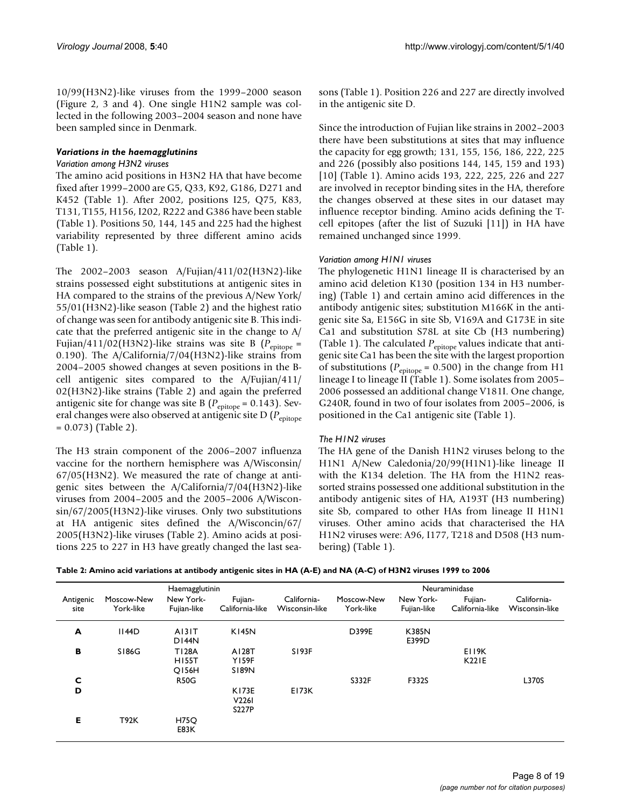10/99(H3N2)-like viruses from the 1999–2000 season (Figure 2, 3 and 4). One single H1N2 sample was collected in the following 2003–2004 season and none have been sampled since in Denmark.

#### *Variations in the haemagglutinins*

#### *Variation among H3N2 viruses*

The amino acid positions in H3N2 HA that have become fixed after 1999–2000 are G5, Q33, K92, G186, D271 and K452 (Table 1). After 2002, positions I25, Q75, K83, T131, T155, H156, I202, R222 and G386 have been stable (Table 1). Positions 50, 144, 145 and 225 had the highest variability represented by three different amino acids (Table 1).

The 2002–2003 season A/Fujian/411/02(H3N2)-like strains possessed eight substitutions at antigenic sites in HA compared to the strains of the previous A/New York/ 55/01(H3N2)-like season (Table 2) and the highest ratio of change was seen for antibody antigenic site B. This indicate that the preferred antigenic site in the change to A/ Fujian/411/02(H3N2)-like strains was site B ( $P_{\text{epitope}} =$ 0.190). The A/California/7/04(H3N2)-like strains from 2004–2005 showed changes at seven positions in the Bcell antigenic sites compared to the A/Fujian/411/ 02(H3N2)-like strains (Table 2) and again the preferred antigenic site for change was site B ( $P_{\text{epitope}}$  = 0.143). Several changes were also observed at antigenic site D ( $P_{\text{epitope}}$  $= 0.073$ ) (Table 2).

The H3 strain component of the 2006–2007 influenza vaccine for the northern hemisphere was A/Wisconsin/ 67/05(H3N2). We measured the rate of change at antigenic sites between the A/California/7/04(H3N2)-like viruses from 2004–2005 and the 2005–2006 A/Wisconsin/67/2005(H3N2)-like viruses. Only two substitutions at HA antigenic sites defined the A/Wisconcin/67/ 2005(H3N2)-like viruses (Table 2). Amino acids at positions 225 to 227 in H3 have greatly changed the last seasons (Table 1). Position 226 and 227 are directly involved in the antigenic site D.

Since the introduction of Fujian like strains in 2002–2003 there have been substitutions at sites that may influence the capacity for egg growth; 131, 155, 156, 186, 222, 225 and 226 (possibly also positions 144, 145, 159 and 193) [10] (Table 1). Amino acids 193, 222, 225, 226 and 227 are involved in receptor binding sites in the HA, therefore the changes observed at these sites in our dataset may influence receptor binding. Amino acids defining the Tcell epitopes (after the list of Suzuki [11]) in HA have remained unchanged since 1999.

#### *Variation among H1N1 viruses*

The phylogenetic H1N1 lineage II is characterised by an amino acid deletion K130 (position 134 in H3 numbering) (Table 1) and certain amino acid differences in the antibody antigenic sites; substitution M166K in the antigenic site Sa, E156G in site Sb, V169A and G173E in site Ca1 and substitution S78L at site Cb (H3 numbering) (Table 1). The calculated  $P_{\text{epitope}}$  values indicate that antigenic site Ca1 has been the site with the largest proportion of substitutions ( $P_{\text{epitope}} = 0.500$ ) in the change from H1 lineage I to lineage II (Table 1). Some isolates from 2005– 2006 possessed an additional change V181I. One change, G240R, found in two of four isolates from 2005–2006, is positioned in the Ca1 antigenic site (Table 1).

#### *The H1N2 viruses*

The HA gene of the Danish H1N2 viruses belong to the H1N1 A/New Caledonia/20/99(H1N1)-like lineage II with the K134 deletion. The HA from the H1N2 reassorted strains possessed one additional substitution in the antibody antigenic sites of HA, A193T (H3 numbering) site Sb, compared to other HAs from lineage II H1N1 viruses. Other amino acids that characterised the HA H1N2 viruses were: A96, I177, T218 and D508 (H3 numbering) (Table 1).

|           |             | Haemagglutinin                               |                                       |                |            |                | Neuraminidase         |                |
|-----------|-------------|----------------------------------------------|---------------------------------------|----------------|------------|----------------|-----------------------|----------------|
| Antigenic | Moscow-New  | New York-                                    | Fujian-                               | California-    | Moscow-New | New York-      | Fujian-               | California-    |
| site      | York-like   | Fujian-like                                  | California-like                       | Wisconsin-like | York-like  | Fujian-like    | California-like       | Wisconsin-like |
| A         | II44D       | A131T<br>DI44N                               | <b>K145N</b>                          |                | D399E      | K385N<br>E399D |                       |                |
| в         | S186G       | <b>T128A</b><br><b>HI55T</b><br><b>Q156H</b> | A128T<br><b>Y159F</b><br>S189N        | S193F          |            |                | E119K<br><b>K221E</b> |                |
| C         |             | <b>R50G</b>                                  |                                       |                | S332F      | F332S          |                       | L370S          |
| D         |             |                                              | <b>K173E</b><br>V2261<br><b>S227P</b> | <b>E173K</b>   |            |                |                       |                |
| Е         | <b>T92K</b> | <b>H75Q</b><br>E83K                          |                                       |                |            |                |                       |                |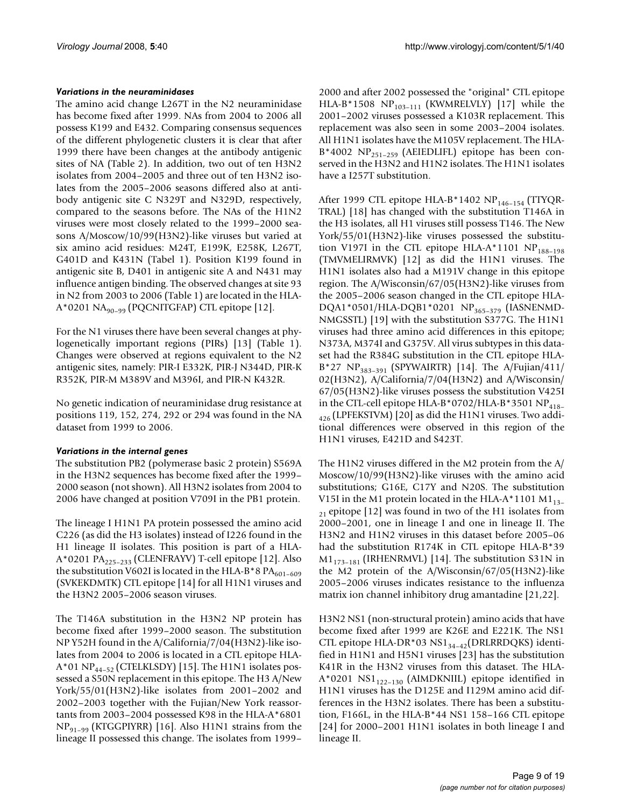#### *Variations in the neuraminidases*

The amino acid change L267T in the N2 neuraminidase has become fixed after 1999. NAs from 2004 to 2006 all possess K199 and E432. Comparing consensus sequences of the different phylogenetic clusters it is clear that after 1999 there have been changes at the antibody antigenic sites of NA (Table 2). In addition, two out of ten H3N2 isolates from 2004–2005 and three out of ten H3N2 isolates from the 2005–2006 seasons differed also at antibody antigenic site C N329T and N329D, respectively, compared to the seasons before. The NAs of the H1N2 viruses were most closely related to the 1999–2000 seasons A/Moscow/10/99(H3N2)-like viruses but varied at six amino acid residues: M24T, E199K, E258K, L267T, G401D and K431N (Tabel 1). Position K199 found in antigenic site B, D401 in antigenic site A and N431 may influence antigen binding. The observed changes at site 93 in N2 from 2003 to 2006 (Table 1) are located in the HLA- $A*0201$  NA<sub>90-99</sub> (PQCNITGFAP) CTL epitope [12].

For the N1 viruses there have been several changes at phylogenetically important regions (PIRs) [13] (Table 1). Changes were observed at regions equivalent to the N2 antigenic sites, namely: PIR-I E332K, PIR-J N344D, PIR-K R352K, PIR-M M389V and M396I, and PIR-N K432R.

No genetic indication of neuraminidase drug resistance at positions 119, 152, 274, 292 or 294 was found in the NA dataset from 1999 to 2006.

#### *Variations in the internal genes*

The substitution PB2 (polymerase basic 2 protein) S569A in the H3N2 sequences has become fixed after the 1999– 2000 season (not shown). All H3N2 isolates from 2004 to 2006 have changed at position V709I in the PB1 protein.

The lineage I H1N1 PA protein possessed the amino acid C226 (as did the H3 isolates) instead of I226 found in the H1 lineage II isolates. This position is part of a HLA-A\*0201 PA<sub>225-233</sub> (CLENFRAYV) T-cell epitope [12]. Also the substitution V602I is located in the HLA-B\*8  $PA_{601-609}$ (SVKEKDMTK) CTL epitope [14] for all H1N1 viruses and the H3N2 2005–2006 season viruses.

The T146A substitution in the H3N2 NP protein has become fixed after 1999–2000 season. The substitution NP Y52H found in the A/California/7/04(H3N2)-like isolates from 2004 to 2006 is located in a CTL epitope HLA- $A*01 NP_{44-52}$  (CTELKLSDY) [15]. The H1N1 isolates possessed a S50N replacement in this epitope. The H3 A/New York/55/01(H3N2)-like isolates from 2001–2002 and 2002–2003 together with the Fujian/New York reassortants from 2003–2004 possessed K98 in the HLA-A\*6801  $NP_{91-99}$  (KTGGPIYRR) [16]. Also H1N1 strains from the lineage II possessed this change. The isolates from 1999–

2000 and after 2002 possessed the "original" CTL epitope HLA-B\*1508 NP<sub>103-111</sub> (KWMRELVLY) [17] while the 2001–2002 viruses possessed a K103R replacement. This replacement was also seen in some 2003–2004 isolates. All H1N1 isolates have the M105V replacement. The HLA- $B*4002$  NP<sub>251–259</sub> (AEIEDLIFL) epitope has been conserved in the H3N2 and H1N2 isolates. The H1N1 isolates have a I257T substitution.

After 1999 CTL epitope HLA-B\*1402 NP<sub>146-154</sub> (TTYQR-TRAL) [18] has changed with the substitution T146A in the H3 isolates, all H1 viruses still possess T146. The New York/55/01(H3N2)-like viruses possessed the substitution V197I in the CTL epitope HLA-A\*1101  $NP<sub>188-198</sub>$ (TMVMELIRMVK) [12] as did the H1N1 viruses. The H1N1 isolates also had a M191V change in this epitope region. The A/Wisconsin/67/05(H3N2)-like viruses from the 2005–2006 season changed in the CTL epitope HLA-DQA1\*0501/HLA-DQB1\*0201 NP<sub>365-379</sub> (IASNENMD-NMGSSTL) [19] with the substitution S377G. The H1N1 viruses had three amino acid differences in this epitope; N373A, M374I and G375V. All virus subtypes in this dataset had the R384G substitution in the CTL epitope HLA- $B^*27 \ NP_{383-391}$  (SPYWAIRTR) [14]. The A/Fujian/411/ 02(H3N2), A/California/7/04(H3N2) and A/Wisconsin/ 67/05(H3N2)-like viruses possess the substitution V425I in the CTL-cell epitope HLA-B\*0702/HLA-B\*3501 NP $_{418-}$  $_{426}$  (LPFEKSTVM) [20] as did the H1N1 viruses. Two additional differences were observed in this region of the H1N1 viruses, E421D and S423T.

The H1N2 viruses differed in the M2 protein from the A/ Moscow/10/99(H3N2)-like viruses with the amino acid substitutions; G16E, C17Y and N20S. The substitution V15I in the M1 protein located in the HLA-A\*1101 M1 $_{13-}$  $_{21}$  epitope [12] was found in two of the H1 isolates from 2000–2001, one in lineage I and one in lineage II. The H3N2 and H1N2 viruses in this dataset before 2005–06 had the substitution R174K in CTL epitope HLA-B\*39  $M1_{173-181}$  (IRHENRMVL) [14]. The substitution S31N in the M2 protein of the A/Wisconsin/67/05(H3N2)-like 2005–2006 viruses indicates resistance to the influenza matrix ion channel inhibitory drug amantadine [21,22].

H3N2 NS1 (non-structural protein) amino acids that have become fixed after 1999 are K26E and E221K. The NS1 CTL epitope HLA-DR\*03  $NS1_{34-42}$ (DRLRRDQKS) identified in H1N1 and H5N1 viruses [23] has the substitution K41R in the H3N2 viruses from this dataset. The HLA- $A*0201$  NS1<sub>122-130</sub> (AIMDKNIIL) epitope identified in H1N1 viruses has the D125E and I129M amino acid differences in the H3N2 isolates. There has been a substitution, F166L, in the HLA-B\*44 NS1 158–166 CTL epitope [24] for 2000–2001 H1N1 isolates in both lineage I and lineage II.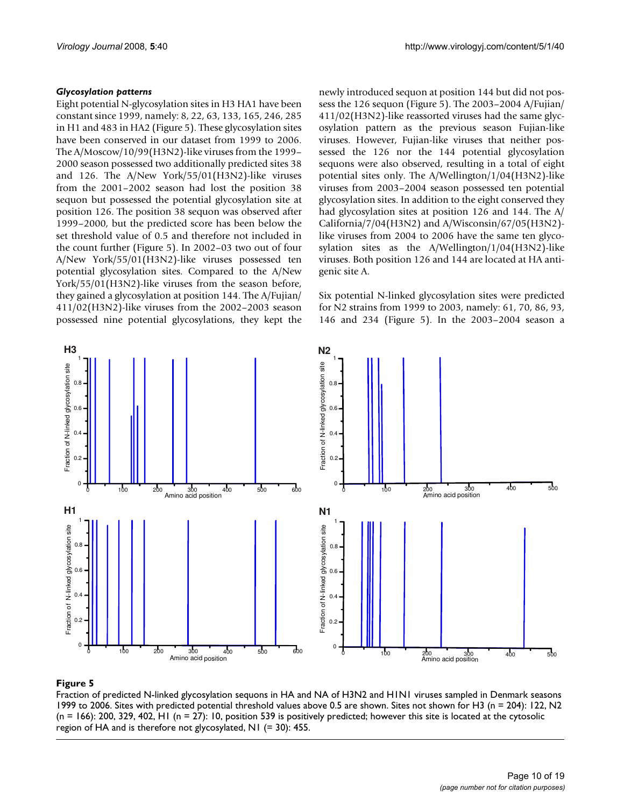#### *Glycosylation patterns*

Eight potential N-glycosylation sites in H3 HA1 have been constant since 1999, namely: 8, 22, 63, 133, 165, 246, 285 in H1 and 483 in HA2 (Figure 5). These glycosylation sites have been conserved in our dataset from 1999 to 2006. The A/Moscow/10/99(H3N2)-like viruses from the 1999– 2000 season possessed two additionally predicted sites 38 and 126. The A/New York/55/01(H3N2)-like viruses from the 2001–2002 season had lost the position 38 sequon but possessed the potential glycosylation site at position 126. The position 38 sequon was observed after 1999–2000, but the predicted score has been below the set threshold value of 0.5 and therefore not included in the count further (Figure 5). In 2002–03 two out of four A/New York/55/01(H3N2)-like viruses possessed ten potential glycosylation sites. Compared to the A/New York/55/01(H3N2)-like viruses from the season before, they gained a glycosylation at position 144. The A/Fujian/ 411/02(H3N2)-like viruses from the 2002–2003 season possessed nine potential glycosylations, they kept the newly introduced sequon at position 144 but did not possess the 126 sequon (Figure 5). The 2003–2004 A/Fujian/ 411/02(H3N2)-like reassorted viruses had the same glycosylation pattern as the previous season Fujian-like viruses. However, Fujian-like viruses that neither possessed the 126 nor the 144 potential glycosylation sequons were also observed, resulting in a total of eight potential sites only. The A/Wellington/1/04(H3N2)-like viruses from 2003–2004 season possessed ten potential glycosylation sites. In addition to the eight conserved they had glycosylation sites at position 126 and 144. The A/ California/7/04(H3N2) and A/Wisconsin/67/05(H3N2) like viruses from 2004 to 2006 have the same ten glycosylation sites as the A/Wellington/1/04(H3N2)-like viruses. Both position 126 and 144 are located at HA antigenic site A.

Six potential N-linked glycosylation sites were predicted for N2 strains from 1999 to 2003, namely: 61, 70, 86, 93, 146 and 234 (Figure 5). In the 2003–2004 season a



# Fraction of predicted N-linked glycosylati 1999 to 2006 **Figure 5** on sequons in HA and NA of H3N2 and H1N1 viruses sampled in Denmark seasons

Fraction of predicted N-linked glycosylation sequons in HA and NA of H3N2 and H1N1 viruses sampled in Denmark seasons 1999 to 2006. Sites with predicted potential threshold values above 0.5 are shown. Sites not shown for H3 (n = 204): 122, N2  $(n = 166)$ : 200, 329, 402, H1  $(n = 27)$ : 10, position 539 is positively predicted; however this site is located at the cytosolic region of HA and is therefore not glycosylated, N1 (= 30): 455.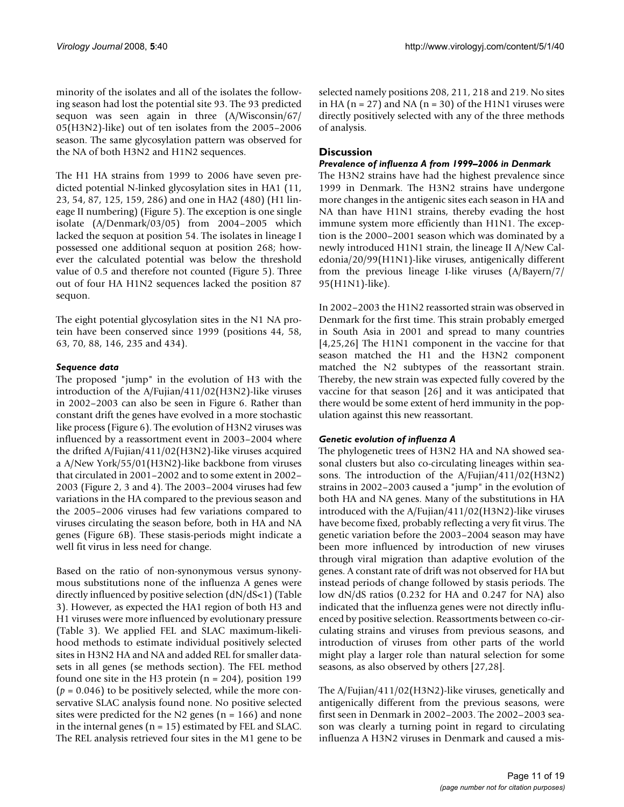minority of the isolates and all of the isolates the following season had lost the potential site 93. The 93 predicted sequon was seen again in three (A/Wisconsin/67/ 05(H3N2)-like) out of ten isolates from the 2005–2006 season. The same glycosylation pattern was observed for the NA of both H3N2 and H1N2 sequences.

The H1 HA strains from 1999 to 2006 have seven predicted potential N-linked glycosylation sites in HA1 (11, 23, 54, 87, 125, 159, 286) and one in HA2 (480) (H1 lineage II numbering) (Figure 5). The exception is one single isolate (A/Denmark/03/05) from 2004–2005 which lacked the sequon at position 54. The isolates in lineage I possessed one additional sequon at position 268; however the calculated potential was below the threshold value of 0.5 and therefore not counted (Figure 5). Three out of four HA H1N2 sequences lacked the position 87 sequon.

The eight potential glycosylation sites in the N1 NA protein have been conserved since 1999 (positions 44, 58, 63, 70, 88, 146, 235 and 434).

# *Sequence data*

The proposed "jump" in the evolution of H3 with the introduction of the A/Fujian/411/02(H3N2)-like viruses in 2002–2003 can also be seen in Figure 6. Rather than constant drift the genes have evolved in a more stochastic like process (Figure 6). The evolution of H3N2 viruses was influenced by a reassortment event in 2003–2004 where the drifted A/Fujian/411/02(H3N2)-like viruses acquired a A/New York/55/01(H3N2)-like backbone from viruses that circulated in 2001–2002 and to some extent in 2002– 2003 (Figure 2, 3 and 4). The 2003–2004 viruses had few variations in the HA compared to the previous season and the 2005–2006 viruses had few variations compared to viruses circulating the season before, both in HA and NA genes (Figure 6B). These stasis-periods might indicate a well fit virus in less need for change.

Based on the ratio of non-synonymous versus synonymous substitutions none of the influenza A genes were directly influenced by positive selection (dN/dS<1) (Table 3). However, as expected the HA1 region of both H3 and H1 viruses were more influenced by evolutionary pressure (Table 3). We applied FEL and SLAC maximum-likelihood methods to estimate individual positively selected sites in H3N2 HA and NA and added REL for smaller datasets in all genes (se methods section). The FEL method found one site in the H3 protein  $(n = 204)$ , position 199  $(p = 0.046)$  to be positively selected, while the more conservative SLAC analysis found none. No positive selected sites were predicted for the N2 genes ( $n = 166$ ) and none in the internal genes ( $n = 15$ ) estimated by FEL and SLAC. The REL analysis retrieved four sites in the M1 gene to be selected namely positions 208, 211, 218 and 219. No sites in HA ( $n = 27$ ) and NA ( $n = 30$ ) of the H1N1 viruses were directly positively selected with any of the three methods of analysis.

# **Discussion**

#### *Prevalence of influenza A from 1999–2006 in Denmark*

The H3N2 strains have had the highest prevalence since 1999 in Denmark. The H3N2 strains have undergone more changes in the antigenic sites each season in HA and NA than have H1N1 strains, thereby evading the host immune system more efficiently than H1N1. The exception is the 2000–2001 season which was dominated by a newly introduced H1N1 strain, the lineage II A/New Caledonia/20/99(H1N1)-like viruses, antigenically different from the previous lineage I-like viruses (A/Bayern/7/ 95(H1N1)-like).

In 2002–2003 the H1N2 reassorted strain was observed in Denmark for the first time. This strain probably emerged in South Asia in 2001 and spread to many countries [4,25,26] The H1N1 component in the vaccine for that season matched the H1 and the H3N2 component matched the N2 subtypes of the reassortant strain. Thereby, the new strain was expected fully covered by the vaccine for that season [26] and it was anticipated that there would be some extent of herd immunity in the population against this new reassortant.

#### *Genetic evolution of influenza A*

The phylogenetic trees of H3N2 HA and NA showed seasonal clusters but also co-circulating lineages within seasons. The introduction of the A/Fujian/411/02(H3N2) strains in 2002–2003 caused a "jump" in the evolution of both HA and NA genes. Many of the substitutions in HA introduced with the A/Fujian/411/02(H3N2)-like viruses have become fixed, probably reflecting a very fit virus. The genetic variation before the 2003–2004 season may have been more influenced by introduction of new viruses through viral migration than adaptive evolution of the genes. A constant rate of drift was not observed for HA but instead periods of change followed by stasis periods. The low dN/dS ratios (0.232 for HA and 0.247 for NA) also indicated that the influenza genes were not directly influenced by positive selection. Reassortments between co-circulating strains and viruses from previous seasons, and introduction of viruses from other parts of the world might play a larger role than natural selection for some seasons, as also observed by others [27,28].

The A/Fujian/411/02(H3N2)-like viruses, genetically and antigenically different from the previous seasons, were first seen in Denmark in 2002–2003. The 2002–2003 season was clearly a turning point in regard to circulating influenza A H3N2 viruses in Denmark and caused a mis-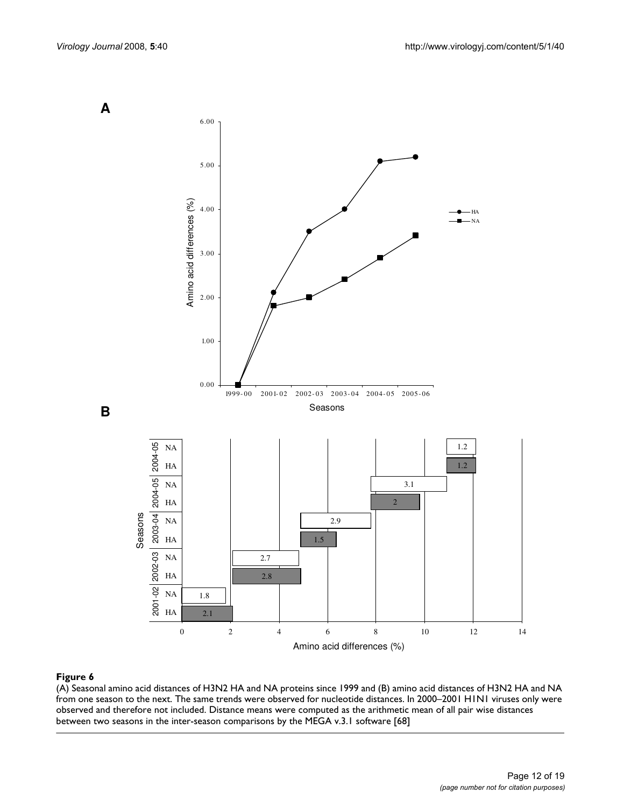

#### (A) Seasonal amino acid distances of H3N2 HA and NA protei from one season to the next **Figure 6** ns since 1999 and (B) amino acid distances of H3N2 HA and NA

(A) Seasonal amino acid distances of H3N2 HA and NA proteins since 1999 and (B) amino acid distances of H3N2 HA and NA from one season to the next. The same trends were observed for nucleotide distances. In 2000–2001 H1N1 viruses only were observed and therefore not included. Distance means were computed as the arithmetic mean of all pair wise distances between two seasons in the inter-season comparisons by the MEGA v.3.1 software [68]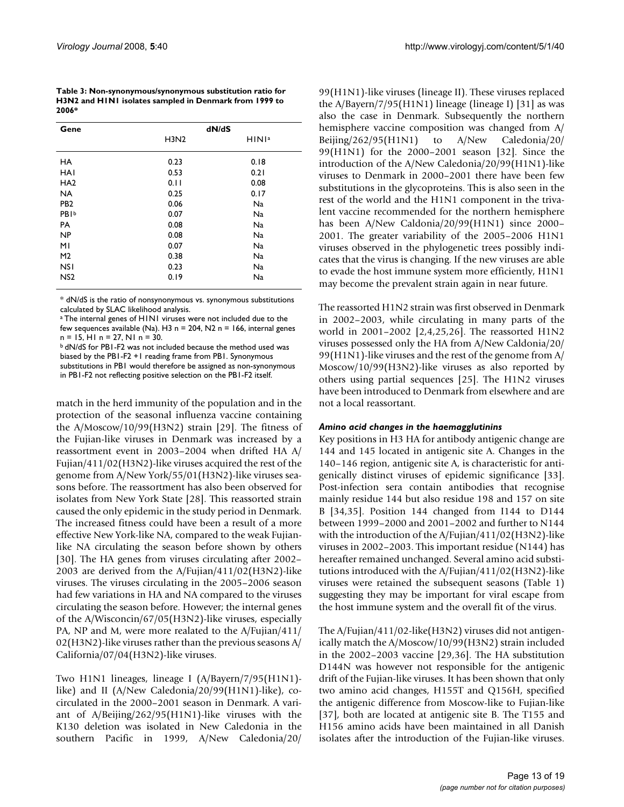**Table 3: Non-synonymous/synonymous substitution ratio for H3N2 and H1N1 isolates sampled in Denmark from 1999 to 2006\***

| Gene             | dN/dS                         |                   |  |  |  |  |
|------------------|-------------------------------|-------------------|--|--|--|--|
|                  | H <sub>3</sub> N <sub>2</sub> | HINI <sup>a</sup> |  |  |  |  |
| <b>HA</b>        | 0.23                          | 0.18              |  |  |  |  |
| <b>HAI</b>       | 0.53                          | 0.21              |  |  |  |  |
| HA <sub>2</sub>  | 0.11                          | 0.08              |  |  |  |  |
| <b>NA</b>        | 0.25                          | 0.17              |  |  |  |  |
| PB <sub>2</sub>  | 0.06                          | <b>Na</b>         |  |  |  |  |
| <b>PBI</b> b     | 0.07                          | <b>Na</b>         |  |  |  |  |
| PA               | 0.08                          | Na                |  |  |  |  |
| <b>NP</b>        | 0.08                          | <b>Na</b>         |  |  |  |  |
| ΜI               | 0.07                          | <b>Na</b>         |  |  |  |  |
| M <sub>2</sub>   | 0.38                          | Na                |  |  |  |  |
| <b>NSI</b>       | 0.23                          | <b>Na</b>         |  |  |  |  |
| N <sub>S</sub> 2 | 0.19                          | <b>Na</b>         |  |  |  |  |

\* dN/dS is the ratio of nonsynonymous vs. synonymous substitutions calculated by SLAC likelihood analysis.

a The internal genes of H1N1 viruses were not included due to the few sequences available (Na). H3 n = 204, N2 n = 166, internal genes n = 15, H1 n = 27, N1 n = 30.

b dN/dS for PB1-F2 was not included because the method used was biased by the PB1-F2 +1 reading frame from PB1. Synonymous substitutions in PB1 would therefore be assigned as non-synonymous in PB1-F2 not reflecting positive selection on the PB1-F2 itself.

match in the herd immunity of the population and in the protection of the seasonal influenza vaccine containing the A/Moscow/10/99(H3N2) strain [29]. The fitness of the Fujian-like viruses in Denmark was increased by a reassortment event in 2003–2004 when drifted HA A/ Fujian/411/02(H3N2)-like viruses acquired the rest of the genome from A/New York/55/01(H3N2)-like viruses seasons before. The reassortment has also been observed for isolates from New York State [28]. This reassorted strain caused the only epidemic in the study period in Denmark. The increased fitness could have been a result of a more effective New York-like NA, compared to the weak Fujianlike NA circulating the season before shown by others [30]. The HA genes from viruses circulating after 2002– 2003 are derived from the A/Fujian/411/02(H3N2)-like viruses. The viruses circulating in the 2005–2006 season had few variations in HA and NA compared to the viruses circulating the season before. However; the internal genes of the A/Wisconcin/67/05(H3N2)-like viruses, especially PA, NP and M, were more realated to the A/Fujian/411/ 02(H3N2)-like viruses rather than the previous seasons A/ California/07/04(H3N2)-like viruses.

Two H1N1 lineages, lineage I (A/Bayern/7/95(H1N1) like) and II (A/New Caledonia/20/99(H1N1)-like), cocirculated in the 2000–2001 season in Denmark. A variant of A/Beijing/262/95(H1N1)-like viruses with the K130 deletion was isolated in New Caledonia in the southern Pacific in 1999, A/New Caledonia/20/

99(H1N1)-like viruses (lineage II). These viruses replaced the  $A/Bayern/7/95(H1N1)$  lineage (lineage I) [31] as was also the case in Denmark. Subsequently the northern hemisphere vaccine composition was changed from A/ Beijing/262/95(H1N1) to A/New Caledonia/20/ 99(H1N1) for the 2000–2001 season [32]. Since the introduction of the A/New Caledonia/20/99(H1N1)-like viruses to Denmark in 2000–2001 there have been few substitutions in the glycoproteins. This is also seen in the rest of the world and the H1N1 component in the trivalent vaccine recommended for the northern hemisphere has been A/New Caldonia/20/99(H1N1) since 2000– 2001. The greater variability of the 2005–2006 H1N1 viruses observed in the phylogenetic trees possibly indicates that the virus is changing. If the new viruses are able to evade the host immune system more efficiently, H1N1 may become the prevalent strain again in near future.

The reassorted H1N2 strain was first observed in Denmark in 2002–2003, while circulating in many parts of the world in 2001–2002 [2,4,25,26]. The reassorted H1N2 viruses possessed only the HA from A/New Caldonia/20/ 99(H1N1)-like viruses and the rest of the genome from A/ Moscow/10/99(H3N2)-like viruses as also reported by others using partial sequences [25]. The H1N2 viruses have been introduced to Denmark from elsewhere and are not a local reassortant.

#### *Amino acid changes in the haemagglutinins*

Key positions in H3 HA for antibody antigenic change are 144 and 145 located in antigenic site A. Changes in the 140–146 region, antigenic site A, is characteristic for antigenically distinct viruses of epidemic significance [33]. Post-infection sera contain antibodies that recognise mainly residue 144 but also residue 198 and 157 on site B [34,35]. Position 144 changed from I144 to D144 between 1999–2000 and 2001–2002 and further to N144 with the introduction of the A/Fujian/411/02(H3N2)-like viruses in 2002–2003. This important residue (N144) has hereafter remained unchanged. Several amino acid substitutions introduced with the A/Fujian/411/02(H3N2)-like viruses were retained the subsequent seasons (Table 1) suggesting they may be important for viral escape from the host immune system and the overall fit of the virus.

The A/Fujian/411/02-like(H3N2) viruses did not antigenically match the A/Moscow/10/99(H3N2) strain included in the 2002–2003 vaccine [29,36]. The HA substitution D144N was however not responsible for the antigenic drift of the Fujian-like viruses. It has been shown that only two amino acid changes, H155T and Q156H, specified the antigenic difference from Moscow-like to Fujian-like [37], both are located at antigenic site B. The T155 and H156 amino acids have been maintained in all Danish isolates after the introduction of the Fujian-like viruses.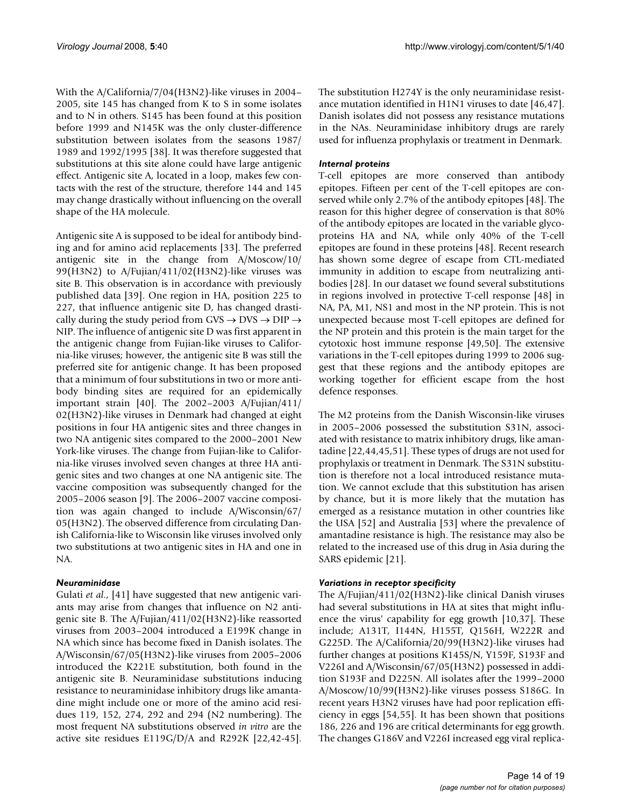With the A/California/7/04(H3N2)-like viruses in 2004– 2005, site 145 has changed from K to S in some isolates and to N in others. S145 has been found at this position before 1999 and N145K was the only cluster-difference substitution between isolates from the seasons 1987/ 1989 and 1992/1995 [38]. It was therefore suggested that substitutions at this site alone could have large antigenic effect. Antigenic site A, located in a loop, makes few contacts with the rest of the structure, therefore 144 and 145 may change drastically without influencing on the overall shape of the HA molecule.

Antigenic site A is supposed to be ideal for antibody binding and for amino acid replacements [33]. The preferred antigenic site in the change from A/Moscow/10/ 99(H3N2) to A/Fujian/411/02(H3N2)-like viruses was site B. This observation is in accordance with previously published data [39]. One region in HA, position 225 to 227, that influence antigenic site D, has changed drastically during the study period from  $\text{GVS} \rightarrow \text{DVS} \rightarrow \text{DIP} \rightarrow$ NIP. The influence of antigenic site D was first apparent in the antigenic change from Fujian-like viruses to California-like viruses; however, the antigenic site B was still the preferred site for antigenic change. It has been proposed that a minimum of four substitutions in two or more antibody binding sites are required for an epidemically important strain [40]. The 2002–2003 A/Fujian/411/ 02(H3N2)-like viruses in Denmark had changed at eight positions in four HA antigenic sites and three changes in two NA antigenic sites compared to the 2000–2001 New York-like viruses. The change from Fujian-like to California-like viruses involved seven changes at three HA antigenic sites and two changes at one NA antigenic site. The vaccine composition was subsequently changed for the 2005–2006 season [9]. The 2006–2007 vaccine composition was again changed to include A/Wisconsin/67/ 05(H3N2). The observed difference from circulating Danish California-like to Wisconsin like viruses involved only two substitutions at two antigenic sites in HA and one in NA.

#### *Neuraminidase*

Gulati *et al*., [41] have suggested that new antigenic variants may arise from changes that influence on N2 antigenic site B. The A/Fujian/411/02(H3N2)-like reassorted viruses from 2003–2004 introduced a E199K change in NA which since has become fixed in Danish isolates. The A/Wisconsin/67/05(H3N2)-like viruses from 2005–2006 introduced the K221E substitution, both found in the antigenic site B. Neuraminidase substitutions inducing resistance to neuraminidase inhibitory drugs like amantadine might include one or more of the amino acid residues 119, 152, 274, 292 and 294 (N2 numbering). The most frequent NA substitutions observed *in vitro* are the active site residues E119G/D/A and R292K [22,42-45].

The substitution H274Y is the only neuraminidase resistance mutation identified in H1N1 viruses to date [46,47]. Danish isolates did not possess any resistance mutations in the NAs. Neuraminidase inhibitory drugs are rarely used for influenza prophylaxis or treatment in Denmark.

#### *Internal proteins*

T-cell epitopes are more conserved than antibody epitopes. Fifteen per cent of the T-cell epitopes are conserved while only 2.7% of the antibody epitopes [48]. The reason for this higher degree of conservation is that 80% of the antibody epitopes are located in the variable glycoproteins HA and NA, while only 40% of the T-cell epitopes are found in these proteins [48]. Recent research has shown some degree of escape from CTL-mediated immunity in addition to escape from neutralizing antibodies [28]. In our dataset we found several substitutions in regions involved in protective T-cell response [48] in NA, PA, M1, NS1 and most in the NP protein. This is not unexpected because most T-cell epitopes are defined for the NP protein and this protein is the main target for the cytotoxic host immune response [49,50]. The extensive variations in the T-cell epitopes during 1999 to 2006 suggest that these regions and the antibody epitopes are working together for efficient escape from the host defence responses.

The M2 proteins from the Danish Wisconsin-like viruses in 2005–2006 possessed the substitution S31N, associated with resistance to matrix inhibitory drugs, like amantadine [22,44,45,51]. These types of drugs are not used for prophylaxis or treatment in Denmark. The S31N substitution is therefore not a local introduced resistance mutation. We cannot exclude that this substitution has arisen by chance, but it is more likely that the mutation has emerged as a resistance mutation in other countries like the USA [52] and Australia [53] where the prevalence of amantadine resistance is high. The resistance may also be related to the increased use of this drug in Asia during the SARS epidemic [21].

#### *Variations in receptor specificity*

The A/Fujian/411/02(H3N2)-like clinical Danish viruses had several substitutions in HA at sites that might influence the virus' capability for egg growth [10,37]. These include; A131T, I144N, H155T, Q156H, W222R and G225D. The A/California/20/99(H3N2)-like viruses had further changes at positions K145S/N, Y159F, S193F and V226I and A/Wisconsin/67/05(H3N2) possessed in addition S193F and D225N. All isolates after the 1999–2000 A/Moscow/10/99(H3N2)-like viruses possess S186G. In recent years H3N2 viruses have had poor replication efficiency in eggs [54,55]. It has been shown that positions 186, 226 and 196 are critical determinants for egg growth. The changes G186V and V226I increased egg viral replica-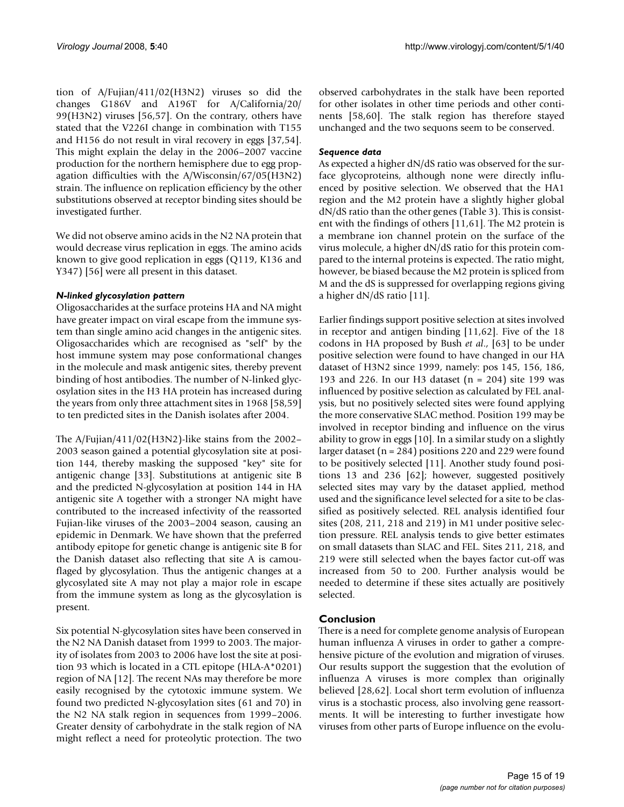tion of A/Fujian/411/02(H3N2) viruses so did the changes G186V and A196T for A/California/20/ 99(H3N2) viruses [56,57]. On the contrary, others have stated that the V226I change in combination with T155 and H156 do not result in viral recovery in eggs [37,54]. This might explain the delay in the 2006–2007 vaccine production for the northern hemisphere due to egg propagation difficulties with the A/Wisconsin/67/05(H3N2) strain. The influence on replication efficiency by the other substitutions observed at receptor binding sites should be investigated further.

We did not observe amino acids in the N2 NA protein that would decrease virus replication in eggs. The amino acids known to give good replication in eggs (Q119, K136 and Y347) [56] were all present in this dataset.

#### *N-linked glycosylation pattern*

Oligosaccharides at the surface proteins HA and NA might have greater impact on viral escape from the immune system than single amino acid changes in the antigenic sites. Oligosaccharides which are recognised as "self" by the host immune system may pose conformational changes in the molecule and mask antigenic sites, thereby prevent binding of host antibodies. The number of N-linked glycosylation sites in the H3 HA protein has increased during the years from only three attachment sites in 1968 [58,59] to ten predicted sites in the Danish isolates after 2004.

The A/Fujian/411/02(H3N2)-like stains from the 2002– 2003 season gained a potential glycosylation site at position 144, thereby masking the supposed "key" site for antigenic change [33]. Substitutions at antigenic site B and the predicted N-glycosylation at position 144 in HA antigenic site A together with a stronger NA might have contributed to the increased infectivity of the reassorted Fujian-like viruses of the 2003–2004 season, causing an epidemic in Denmark. We have shown that the preferred antibody epitope for genetic change is antigenic site B for the Danish dataset also reflecting that site A is camouflaged by glycosylation. Thus the antigenic changes at a glycosylated site A may not play a major role in escape from the immune system as long as the glycosylation is present.

Six potential N-glycosylation sites have been conserved in the N2 NA Danish dataset from 1999 to 2003. The majority of isolates from 2003 to 2006 have lost the site at position 93 which is located in a CTL epitope (HLA-A\*0201) region of NA [12]. The recent NAs may therefore be more easily recognised by the cytotoxic immune system. We found two predicted N-glycosylation sites (61 and 70) in the N2 NA stalk region in sequences from 1999–2006. Greater density of carbohydrate in the stalk region of NA might reflect a need for proteolytic protection. The two

observed carbohydrates in the stalk have been reported for other isolates in other time periods and other continents [58,60]. The stalk region has therefore stayed unchanged and the two sequons seem to be conserved.

#### *Sequence data*

As expected a higher dN/dS ratio was observed for the surface glycoproteins, although none were directly influenced by positive selection. We observed that the HA1 region and the M2 protein have a slightly higher global dN/dS ratio than the other genes (Table 3). This is consistent with the findings of others [11,61]. The M2 protein is a membrane ion channel protein on the surface of the virus molecule, a higher dN/dS ratio for this protein compared to the internal proteins is expected. The ratio might, however, be biased because the M2 protein is spliced from M and the dS is suppressed for overlapping regions giving a higher dN/dS ratio [11].

Earlier findings support positive selection at sites involved in receptor and antigen binding [11,62]. Five of the 18 codons in HA proposed by Bush *et al*., [63] to be under positive selection were found to have changed in our HA dataset of H3N2 since 1999, namely: pos 145, 156, 186, 193 and 226. In our H3 dataset (n = 204) site 199 was influenced by positive selection as calculated by FEL analysis, but no positively selected sites were found applying the more conservative SLAC method. Position 199 may be involved in receptor binding and influence on the virus ability to grow in eggs [10]. In a similar study on a slightly larger dataset (n = 284) positions 220 and 229 were found to be positively selected [11]. Another study found positions 13 and 236 [62]; however, suggested positively selected sites may vary by the dataset applied, method used and the significance level selected for a site to be classified as positively selected. REL analysis identified four sites (208, 211, 218 and 219) in M1 under positive selection pressure. REL analysis tends to give better estimates on small datasets than SLAC and FEL. Sites 211, 218, and 219 were still selected when the bayes factor cut-off was increased from 50 to 200. Further analysis would be needed to determine if these sites actually are positively selected.

# **Conclusion**

There is a need for complete genome analysis of European human influenza A viruses in order to gather a comprehensive picture of the evolution and migration of viruses. Our results support the suggestion that the evolution of influenza A viruses is more complex than originally believed [28,62]. Local short term evolution of influenza virus is a stochastic process, also involving gene reassortments. It will be interesting to further investigate how viruses from other parts of Europe influence on the evolu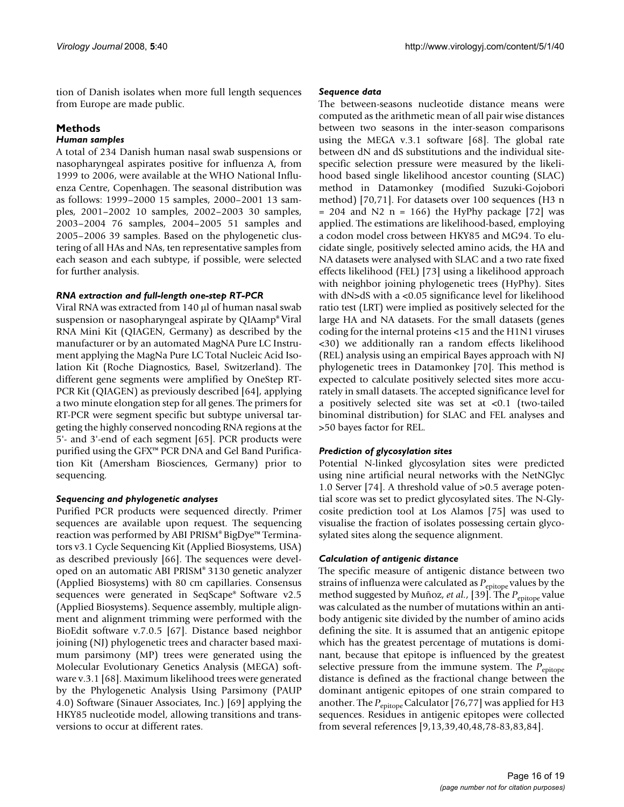tion of Danish isolates when more full length sequences from Europe are made public.

# **Methods**

#### *Human samples*

A total of 234 Danish human nasal swab suspensions or nasopharyngeal aspirates positive for influenza A, from 1999 to 2006, were available at the WHO National Influenza Centre, Copenhagen. The seasonal distribution was as follows: 1999–2000 15 samples, 2000–2001 13 samples, 2001–2002 10 samples, 2002–2003 30 samples, 2003–2004 76 samples, 2004–2005 51 samples and 2005–2006 39 samples. Based on the phylogenetic clustering of all HAs and NAs, ten representative samples from each season and each subtype, if possible, were selected for further analysis.

# *RNA extraction and full-length one-step RT-PCR*

Viral RNA was extracted from 140 µl of human nasal swab suspension or nasopharyngeal aspirate by QIAamp® Viral RNA Mini Kit (QIAGEN, Germany) as described by the manufacturer or by an automated MagNA Pure LC Instrument applying the MagNa Pure LC Total Nucleic Acid Isolation Kit (Roche Diagnostics, Basel, Switzerland). The different gene segments were amplified by OneStep RT-PCR Kit (QIAGEN) as previously described [64], applying a two minute elongation step for all genes. The primers for RT-PCR were segment specific but subtype universal targeting the highly conserved noncoding RNA regions at the 5'- and 3'-end of each segment [65]. PCR products were purified using the GFX™ PCR DNA and Gel Band Purification Kit (Amersham Biosciences, Germany) prior to sequencing.

#### *Sequencing and phylogenetic analyses*

Purified PCR products were sequenced directly. Primer sequences are available upon request. The sequencing reaction was performed by ABI PRISM® BigDye™ Terminators v3.1 Cycle Sequencing Kit (Applied Biosystems, USA) as described previously [66]. The sequences were developed on an automatic ABI PRISM® 3130 genetic analyzer (Applied Biosystems) with 80 cm capillaries. Consensus sequences were generated in SeqScape® Software v2.5 (Applied Biosystems). Sequence assembly, multiple alignment and alignment trimming were performed with the BioEdit software v.7.0.5 [67]. Distance based neighbor joining (NJ) phylogenetic trees and character based maximum parsimony (MP) trees were generated using the Molecular Evolutionary Genetics Analysis (MEGA) software v.3.1 [68]. Maximum likelihood trees were generated by the Phylogenetic Analysis Using Parsimony (PAUP 4.0) Software (Sinauer Associates, Inc.) [69] applying the HKY85 nucleotide model, allowing transitions and transversions to occur at different rates.

#### *Sequence data*

The between-seasons nucleotide distance means were computed as the arithmetic mean of all pair wise distances between two seasons in the inter-season comparisons using the MEGA v.3.1 software [68]. The global rate between dN and dS substitutions and the individual sitespecific selection pressure were measured by the likelihood based single likelihood ancestor counting (SLAC) method in Datamonkey (modified Suzuki-Gojobori method) [70,71]. For datasets over 100 sequences (H3 n  $= 204$  and N2 n  $= 166$ ) the HyPhy package [72] was applied. The estimations are likelihood-based, employing a codon model cross between HKY85 and MG94. To elucidate single, positively selected amino acids, the HA and NA datasets were analysed with SLAC and a two rate fixed effects likelihood (FEL) [73] using a likelihood approach with neighbor joining phylogenetic trees (HyPhy). Sites with dN>dS with a <0.05 significance level for likelihood ratio test (LRT) were implied as positively selected for the large HA and NA datasets. For the small datasets (genes coding for the internal proteins <15 and the H1N1 viruses <30) we additionally ran a random effects likelihood (REL) analysis using an empirical Bayes approach with NJ phylogenetic trees in Datamonkey [70]. This method is expected to calculate positively selected sites more accurately in small datasets. The accepted significance level for a positively selected site was set at <0.1 (two-tailed binominal distribution) for SLAC and FEL analyses and >50 bayes factor for REL.

#### *Prediction of glycosylation sites*

Potential N-linked glycosylation sites were predicted using nine artificial neural networks with the NetNGlyc 1.0 Server [74]. A threshold value of >0.5 average potential score was set to predict glycosylated sites. The N-Glycosite prediction tool at Los Alamos [75] was used to visualise the fraction of isolates possessing certain glycosylated sites along the sequence alignment.

#### *Calculation of antigenic distance*

The specific measure of antigenic distance between two strains of influenza were calculated as  $P_{\text{epitope}}$  values by the method suggested by Muñoz, *et al.*, [39]. The *P*<sub>epitope</sub> value was calculated as the number of mutations within an antibody antigenic site divided by the number of amino acids defining the site. It is assumed that an antigenic epitope which has the greatest percentage of mutations is dominant, because that epitope is influenced by the greatest selective pressure from the immune system. The *P*<sub>epitope</sub> distance is defined as the fractional change between the dominant antigenic epitopes of one strain compared to another. The *P*<sub>epitope</sub> Calculator [76,77] was applied for H3 sequences. Residues in antigenic epitopes were collected from several references [9,13,39,40,48,78-83,83,84].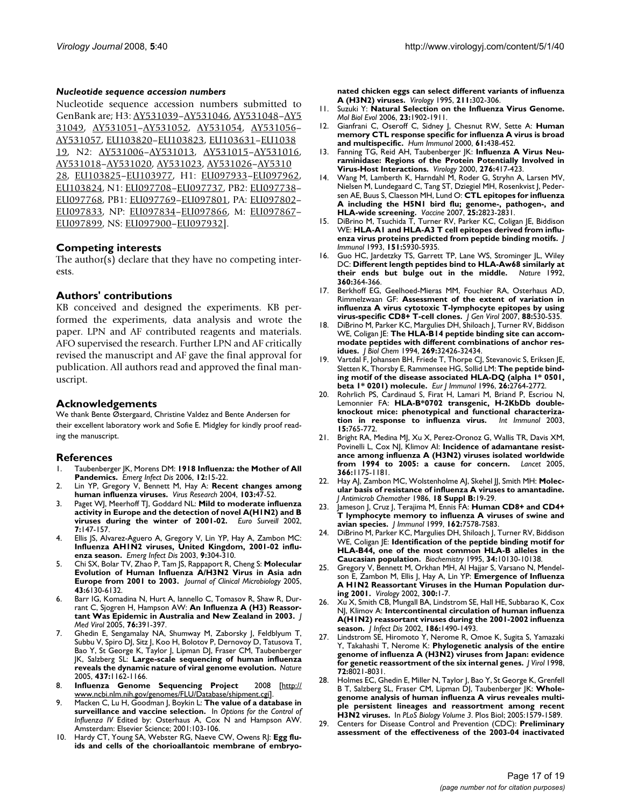#### *Nucleotide sequence accession numbers*

Nucleotide sequence accession numbers submitted to GenBank are; H3: [AY531039](http://www.ncbi.nih.gov/entrez/query.fcgi?db=Nucleotide&cmd=search&term=AY531039)–[AY531046,](http://www.ncbi.nih.gov/entrez/query.fcgi?db=Nucleotide&cmd=search&term=AY531046) [AY531048–](http://www.ncbi.nih.gov/entrez/query.fcgi?db=Nucleotide&cmd=search&term=AY531048)[AY5](http://www.ncbi.nih.gov/entrez/query.fcgi?db=Nucleotide&cmd=search&term=AY531049) [31049](http://www.ncbi.nih.gov/entrez/query.fcgi?db=Nucleotide&cmd=search&term=AY531049), [AY531051](http://www.ncbi.nih.gov/entrez/query.fcgi?db=Nucleotide&cmd=search&term=AY531051)–[AY531052,](http://www.ncbi.nih.gov/entrez/query.fcgi?db=Nucleotide&cmd=search&term=AY531052) [AY531054,](http://www.ncbi.nih.gov/entrez/query.fcgi?db=Nucleotide&cmd=search&term=AY531054) [AY531056–](http://www.ncbi.nih.gov/entrez/query.fcgi?db=Nucleotide&cmd=search&term=AY531056) [AY531057](http://www.ncbi.nih.gov/entrez/query.fcgi?db=Nucleotide&cmd=search&term=AY531057), [EU103820–](http://www.ncbi.nih.gov/entrez/query.fcgi?db=Nucleotide&cmd=search&term=EU103820)[EU103823](http://www.ncbi.nih.gov/entrez/query.fcgi?db=Nucleotide&cmd=search&term=EU103823), [EU103631–](http://www.ncbi.nih.gov/entrez/query.fcgi?db=Nucleotide&cmd=search&term=EU103631)[EU1038](http://www.ncbi.nih.gov/entrez/query.fcgi?db=Nucleotide&cmd=search&term=EU103819) [19,](http://www.ncbi.nih.gov/entrez/query.fcgi?db=Nucleotide&cmd=search&term=EU103819) N2: [AY531006](http://www.ncbi.nih.gov/entrez/query.fcgi?db=Nucleotide&cmd=search&term=AY531006)–[AY531013,](http://www.ncbi.nih.gov/entrez/query.fcgi?db=Nucleotide&cmd=search&term=AY531013) [AY531015](http://www.ncbi.nih.gov/entrez/query.fcgi?db=Nucleotide&cmd=search&term=AY531015)[–AY531016,](http://www.ncbi.nih.gov/entrez/query.fcgi?db=Nucleotide&cmd=search&term=AY531016) [AY531018](http://www.ncbi.nih.gov/entrez/query.fcgi?db=Nucleotide&cmd=search&term=AY531018)–[AY531020,](http://www.ncbi.nih.gov/entrez/query.fcgi?db=Nucleotide&cmd=search&term=AY531020) [AY531023](http://www.ncbi.nih.gov/entrez/query.fcgi?db=Nucleotide&cmd=search&term=AY531023), [AY531026](http://www.ncbi.nih.gov/entrez/query.fcgi?db=Nucleotide&cmd=search&term=AY531026)–[AY5310](http://www.ncbi.nih.gov/entrez/query.fcgi?db=Nucleotide&cmd=search&term=AY531028) [28,](http://www.ncbi.nih.gov/entrez/query.fcgi?db=Nucleotide&cmd=search&term=AY531028) [EU103825–](http://www.ncbi.nih.gov/entrez/query.fcgi?db=Nucleotide&cmd=search&term=EU103825)[EU103977](http://www.ncbi.nih.gov/entrez/query.fcgi?db=Nucleotide&cmd=search&term=EU103977), H1: [EU097933](http://www.ncbi.nih.gov/entrez/query.fcgi?db=Nucleotide&cmd=search&term=EU097933)[–EU097962,](http://www.ncbi.nih.gov/entrez/query.fcgi?db=Nucleotide&cmd=search&term=EU097962) [EU103824](http://www.ncbi.nih.gov/entrez/query.fcgi?db=Nucleotide&cmd=search&term=EU103824), N1: [EU097708](http://www.ncbi.nih.gov/entrez/query.fcgi?db=Nucleotide&cmd=search&term=EU097708)–[EU097737](http://www.ncbi.nih.gov/entrez/query.fcgi?db=Nucleotide&cmd=search&term=EU097737), PB2: [EU097738–](http://www.ncbi.nih.gov/entrez/query.fcgi?db=Nucleotide&cmd=search&term=EU097738) [EU097768](http://www.ncbi.nih.gov/entrez/query.fcgi?db=Nucleotide&cmd=search&term=EU097768), PB1: [EU097769–](http://www.ncbi.nih.gov/entrez/query.fcgi?db=Nucleotide&cmd=search&term=EU097769)[EU097801](http://www.ncbi.nih.gov/entrez/query.fcgi?db=Nucleotide&cmd=search&term=EU097801), PA: [EU097802–](http://www.ncbi.nih.gov/entrez/query.fcgi?db=Nucleotide&cmd=search&term=EU097802) [EU097833](http://www.ncbi.nih.gov/entrez/query.fcgi?db=Nucleotide&cmd=search&term=EU097833), NP: [EU097834](http://www.ncbi.nih.gov/entrez/query.fcgi?db=Nucleotide&cmd=search&term=EU097834)–[EU097866](http://www.ncbi.nih.gov/entrez/query.fcgi?db=Nucleotide&cmd=search&term=EU097866), M: [EU097867–](http://www.ncbi.nih.gov/entrez/query.fcgi?db=Nucleotide&cmd=search&term=EU097867) [EU097899](http://www.ncbi.nih.gov/entrez/query.fcgi?db=Nucleotide&cmd=search&term=EU097899), NS: [EU097900](http://www.ncbi.nih.gov/entrez/query.fcgi?db=Nucleotide&cmd=search&term=EU097900)–[EU097932\]](http://www.ncbi.nih.gov/entrez/query.fcgi?db=Nucleotide&cmd=search&term=EU097932).

#### **Competing interests**

The author(s) declare that they have no competing interests.

#### **Authors' contributions**

KB conceived and designed the experiments. KB performed the experiments, data analysis and wrote the paper. LPN and AF contributed reagents and materials. AFO supervised the research. Further LPN and AF critically revised the manuscript and AF gave the final approval for publication. All authors read and approved the final manuscript.

#### **Acknowledgements**

We thank Bente Østergaard, Christine Valdez and Bente Andersen for their excellent laboratory work and Sofie E. Midgley for kindly proof reading the manuscript.

#### **References**

- 1. Taubenberger JK, Morens DM: **[1918 Influenza: the Mother of All](http://www.ncbi.nlm.nih.gov/entrez/query.fcgi?cmd=Retrieve&db=PubMed&dopt=Abstract&list_uids=16494711) [Pandemics.](http://www.ncbi.nlm.nih.gov/entrez/query.fcgi?cmd=Retrieve&db=PubMed&dopt=Abstract&list_uids=16494711)** *Emerg Infect Dis* 2006, **12:**15-22.
- 2. Lin YP, Gregory V, Bennett M, Hay A: **[Recent changes among](http://www.ncbi.nlm.nih.gov/entrez/query.fcgi?cmd=Retrieve&db=PubMed&dopt=Abstract&list_uids=15163487) [human influenza viruses.](http://www.ncbi.nlm.nih.gov/entrez/query.fcgi?cmd=Retrieve&db=PubMed&dopt=Abstract&list_uids=15163487)** *Virus Research* 2004, **103:**47-52.
- 3. Paget WJ, Meerhoff TJ, Goddard NL: **[Mild to moderate influenza](http://www.ncbi.nlm.nih.gov/entrez/query.fcgi?cmd=Retrieve&db=PubMed&dopt=Abstract&list_uids=12631987) [activity in Europe and the detection of novel A\(H1N2\) and B](http://www.ncbi.nlm.nih.gov/entrez/query.fcgi?cmd=Retrieve&db=PubMed&dopt=Abstract&list_uids=12631987) [viruses during the winter of 2001-02.](http://www.ncbi.nlm.nih.gov/entrez/query.fcgi?cmd=Retrieve&db=PubMed&dopt=Abstract&list_uids=12631987)** *Euro Surveill* 2002, **7:**147-157.
- 4. Ellis JS, Alvarez-Aguero A, Gregory V, Lin YP, Hay A, Zambon MC: **[Influenza AH1N2 viruses, United Kingdom, 2001-02 influ](http://www.ncbi.nlm.nih.gov/entrez/query.fcgi?cmd=Retrieve&db=PubMed&dopt=Abstract&list_uids=12643824)[enza season.](http://www.ncbi.nlm.nih.gov/entrez/query.fcgi?cmd=Retrieve&db=PubMed&dopt=Abstract&list_uids=12643824)** *Emerg Infect Dis* 2003, **9:**304-310.
- 5. Chi SX, Bolar TV, Zhao P, Tam JS, Rappaport R, Cheng S: **[Molecular](http://www.ncbi.nlm.nih.gov/entrez/query.fcgi?cmd=Retrieve&db=PubMed&dopt=Abstract&list_uids=16333111) [Evolution of Human Influenza A/H3N2 Virus in Asia adn](http://www.ncbi.nlm.nih.gov/entrez/query.fcgi?cmd=Retrieve&db=PubMed&dopt=Abstract&list_uids=16333111) [Europe from 2001 to 2003.](http://www.ncbi.nlm.nih.gov/entrez/query.fcgi?cmd=Retrieve&db=PubMed&dopt=Abstract&list_uids=16333111)** *Journal of Clinical Microbiology* 2005, **43:**6130-6132.
- Barr IG, Komadina N, Hurt A, Iannello C, Tomasov R, Shaw R, Durrant C, Sjogren H, Hampson AW: **[An Influenza A \(H3\) Reassor](http://www.ncbi.nlm.nih.gov/entrez/query.fcgi?cmd=Retrieve&db=PubMed&dopt=Abstract&list_uids=15902711)[tant Was Epidemic in Australia and New Zealand in 2003.](http://www.ncbi.nlm.nih.gov/entrez/query.fcgi?cmd=Retrieve&db=PubMed&dopt=Abstract&list_uids=15902711)** *J Med Virol* 2005, **76:**391-397.
- 7. Ghedin E, Sengamalay NA, Shumway M, Zaborsky J, Feldblyum T, Subbu V, Spiro DJ, Sitz J, Koo H, Bolotov P, Dernovoy D, Tatusova T, Bao Y, St George K, Taylor J, Lipman DJ, Fraser CM, Taubenberger JK, Salzberg SL: **[Large-scale sequencing of human influenza](http://www.ncbi.nlm.nih.gov/entrez/query.fcgi?cmd=Retrieve&db=PubMed&dopt=Abstract&list_uids=16208317) [reveals the dynamic nature of viral genome evolution.](http://www.ncbi.nlm.nih.gov/entrez/query.fcgi?cmd=Retrieve&db=PubMed&dopt=Abstract&list_uids=16208317)** *Nature* 2005, **437:**1162-1166.
- 8. **Influenza Genome Sequencing Project** 2008 [[http://](http://www.ncbi.nlm.nih.gov/genomes/FLU/Database/shipment.cgi) [www.ncbi.nlm.nih.gov/genomes/FLU/Database/shipment.cgi](http://www.ncbi.nlm.nih.gov/genomes/FLU/Database/shipment.cgi)].
- 9. Macken C, Lu H, Goodman J, Boykin L: **The value of a database in surveillance and vaccine selection.** In *Options for the Control of Influenza IV* Edited by: Osterhaus A, Cox N and Hampson AW. Amsterdam: Elsevier Science; 2001:103-106.
- Hardy CT, Young SA, Webster RG, Naeve CW, Owens RJ: [Egg flu](http://www.ncbi.nlm.nih.gov/entrez/query.fcgi?cmd=Retrieve&db=PubMed&dopt=Abstract&list_uids=7645225)**[ids and cells of the chorioallantoic membrane of embryo-](http://www.ncbi.nlm.nih.gov/entrez/query.fcgi?cmd=Retrieve&db=PubMed&dopt=Abstract&list_uids=7645225)**

**[nated chicken eggs can select different variants of influenza](http://www.ncbi.nlm.nih.gov/entrez/query.fcgi?cmd=Retrieve&db=PubMed&dopt=Abstract&list_uids=7645225) [A \(H3N2\) viruses.](http://www.ncbi.nlm.nih.gov/entrez/query.fcgi?cmd=Retrieve&db=PubMed&dopt=Abstract&list_uids=7645225)** *Virology* 1995, **211:**302-306.

- 11. Suzuki Y: **[Natural Selection on the Influenza Virus Genome.](http://www.ncbi.nlm.nih.gov/entrez/query.fcgi?cmd=Retrieve&db=PubMed&dopt=Abstract&list_uids=16818477)** *Mol Biol Evol* 2006, **23:**1902-1911.
- 12. Gianfrani C, Oseroff C, Sidney J, Chesnut RW, Sette A: **[Human](http://www.ncbi.nlm.nih.gov/entrez/query.fcgi?cmd=Retrieve&db=PubMed&dopt=Abstract&list_uids=10773346) [memory CTL response specific for influenza A virus is broad](http://www.ncbi.nlm.nih.gov/entrez/query.fcgi?cmd=Retrieve&db=PubMed&dopt=Abstract&list_uids=10773346) [and multispecific.](http://www.ncbi.nlm.nih.gov/entrez/query.fcgi?cmd=Retrieve&db=PubMed&dopt=Abstract&list_uids=10773346)** *Hum Immunol* 2000, **61:**438-452.
- 13. Fanning TG, Reid AH, Taubenberger JK: **[Influenza A Virus Neu](http://www.ncbi.nlm.nih.gov/entrez/query.fcgi?cmd=Retrieve&db=PubMed&dopt=Abstract&list_uids=11040132)[raminidase: Regions of the Protein Potentially Involved in](http://www.ncbi.nlm.nih.gov/entrez/query.fcgi?cmd=Retrieve&db=PubMed&dopt=Abstract&list_uids=11040132) [Virus-Host Interactions.](http://www.ncbi.nlm.nih.gov/entrez/query.fcgi?cmd=Retrieve&db=PubMed&dopt=Abstract&list_uids=11040132)** *Virology* 2000, **276:**417-423.
- 14. Wang M, Lamberth K, Harndahl M, Roder G, Stryhn A, Larsen MV, Nielsen M, Lundegaard C, Tang ST, Dziegiel MH, Rosenkvist J, Pedersen AE, Buus S, Claesson MH, Lund O: **[CTL epitopes for influenza](http://www.ncbi.nlm.nih.gov/entrez/query.fcgi?cmd=Retrieve&db=PubMed&dopt=Abstract&list_uids=17254671) [A including the H5N1 bird flu; genome-, pathogen-, and](http://www.ncbi.nlm.nih.gov/entrez/query.fcgi?cmd=Retrieve&db=PubMed&dopt=Abstract&list_uids=17254671) [HLA-wide screening.](http://www.ncbi.nlm.nih.gov/entrez/query.fcgi?cmd=Retrieve&db=PubMed&dopt=Abstract&list_uids=17254671)** *Vaccine* 2007, **25:**2823-2831.
- 15. DiBrino M, Tsuchida T, Turner RV, Parker KC, Coligan JE, Biddison WE: **[HLA-A1 and HLA-A3 T cell epitopes derived from influ](http://www.ncbi.nlm.nih.gov/entrez/query.fcgi?cmd=Retrieve&db=PubMed&dopt=Abstract&list_uids=7504010)[enza virus proteins predicted from peptide binding motifs.](http://www.ncbi.nlm.nih.gov/entrez/query.fcgi?cmd=Retrieve&db=PubMed&dopt=Abstract&list_uids=7504010)** *J Immunol* 1993, **151:**5930-5935.
- 16. Guo HC, Jardetzky TS, Garrett TP, Lane WS, Strominger JL, Wiley DC: **[Different length peptides bind to HLA-Aw68 similarly at](http://www.ncbi.nlm.nih.gov/entrez/query.fcgi?cmd=Retrieve&db=PubMed&dopt=Abstract&list_uids=1448153)** [their ends but bulge out in the middle.](http://www.ncbi.nlm.nih.gov/entrez/query.fcgi?cmd=Retrieve&db=PubMed&dopt=Abstract&list_uids=1448153) **360:**364-366.
- 17. Berkhoff EG, Geelhoed-Mieras MM, Fouchier RA, Osterhaus AD, Rimmelzwaan GF: **[Assessment of the extent of variation in](http://www.ncbi.nlm.nih.gov/entrez/query.fcgi?cmd=Retrieve&db=PubMed&dopt=Abstract&list_uids=17251571) [influenza A virus cytotoxic T-lymphocyte epitopes by using](http://www.ncbi.nlm.nih.gov/entrez/query.fcgi?cmd=Retrieve&db=PubMed&dopt=Abstract&list_uids=17251571) [virus-specific CD8+ T-cell clones.](http://www.ncbi.nlm.nih.gov/entrez/query.fcgi?cmd=Retrieve&db=PubMed&dopt=Abstract&list_uids=17251571)** *J Gen Virol* 2007, **88:**530-535.
- 18. DiBrino M, Parker KC, Margulies DH, Shiloach J, Turner RV, Biddison WE, Coligan JE: **[The HLA-B14 peptide binding site can accom](http://www.ncbi.nlm.nih.gov/entrez/query.fcgi?cmd=Retrieve&db=PubMed&dopt=Abstract&list_uids=7528217)[modate peptides with different combinations of anchor res](http://www.ncbi.nlm.nih.gov/entrez/query.fcgi?cmd=Retrieve&db=PubMed&dopt=Abstract&list_uids=7528217)[idues.](http://www.ncbi.nlm.nih.gov/entrez/query.fcgi?cmd=Retrieve&db=PubMed&dopt=Abstract&list_uids=7528217)** *J Biol Chem* 1994, **269:**32426-32434.
- 19. Vartdal F, Johansen BH, Friede T, Thorpe CJ, Stevanovic S, Eriksen JE, Sletten K, Thorsby E, Rammensee HG, Sollid LM: **[The peptide bind](http://www.ncbi.nlm.nih.gov/entrez/query.fcgi?cmd=Retrieve&db=PubMed&dopt=Abstract&list_uids=8921967)[ing motif of the disease associated HLA-DQ \(alpha 1\\* 0501,](http://www.ncbi.nlm.nih.gov/entrez/query.fcgi?cmd=Retrieve&db=PubMed&dopt=Abstract&list_uids=8921967) [beta 1\\* 0201\) molecule.](http://www.ncbi.nlm.nih.gov/entrez/query.fcgi?cmd=Retrieve&db=PubMed&dopt=Abstract&list_uids=8921967)** *Eur J Immunol* 1996, **26:**2764-2772.
- Rohrlich PS, Cardinaud S, Firat H, Lamari M, Briand P, Escriou N, Lemonnier FA: **[HLA-B\\*0702 transgenic, H-2KbDb double](http://www.ncbi.nlm.nih.gov/entrez/query.fcgi?cmd=Retrieve&db=PubMed&dopt=Abstract&list_uids=12750360)[knockout mice: phenotypical and functional characteriza](http://www.ncbi.nlm.nih.gov/entrez/query.fcgi?cmd=Retrieve&db=PubMed&dopt=Abstract&list_uids=12750360)[tion in response to influenza virus.](http://www.ncbi.nlm.nih.gov/entrez/query.fcgi?cmd=Retrieve&db=PubMed&dopt=Abstract&list_uids=12750360)** *Int Immunol* 2003, **15:**765-772.
- 21. Bright RA, Medina MJ, Xu X, Perez-Oronoz G, Wallis TR, Davis XM, Povinelli L, Cox NJ, Klimov AI: **[Incidence of adamantane resist](http://www.ncbi.nlm.nih.gov/entrez/query.fcgi?cmd=Retrieve&db=PubMed&dopt=Abstract&list_uids=16198766)[ance among influenza A \(H3N2\) viruses isolated worldwide](http://www.ncbi.nlm.nih.gov/entrez/query.fcgi?cmd=Retrieve&db=PubMed&dopt=Abstract&list_uids=16198766) [from 1994 to 2005: a cause for concern.](http://www.ncbi.nlm.nih.gov/entrez/query.fcgi?cmd=Retrieve&db=PubMed&dopt=Abstract&list_uids=16198766)** *Lancet* 2005, **366:**1175-1181.
- 22. Hay AJ, Zambon MC, Wolstenholme AJ, Skehel JJ, Smith MH: **[Molec](http://www.ncbi.nlm.nih.gov/entrez/query.fcgi?cmd=Retrieve&db=PubMed&dopt=Abstract&list_uids=3793659)[ular basis of resistance of influenza A viruses to amantadine.](http://www.ncbi.nlm.nih.gov/entrez/query.fcgi?cmd=Retrieve&db=PubMed&dopt=Abstract&list_uids=3793659)** *J Antimicrob Chemother* 1986, **18 Suppl B:**19-29.
- 23. Jameson J, Cruz J, Terajima M, Ennis FA: **[Human CD8+ and CD4+](http://www.ncbi.nlm.nih.gov/entrez/query.fcgi?cmd=Retrieve&db=PubMed&dopt=Abstract&list_uids=10358215) [T lymphocyte memory to influenza A viruses of swine and](http://www.ncbi.nlm.nih.gov/entrez/query.fcgi?cmd=Retrieve&db=PubMed&dopt=Abstract&list_uids=10358215) [avian species.](http://www.ncbi.nlm.nih.gov/entrez/query.fcgi?cmd=Retrieve&db=PubMed&dopt=Abstract&list_uids=10358215)** *J Immunol* 1999, **162:**7578-7583.
- 24. DiBrino M, Parker KC, Margulies DH, Shiloach J, Turner RV, Biddison WE, Coligan JE: **[Identification of the peptide binding motif for](http://www.ncbi.nlm.nih.gov/entrez/query.fcgi?cmd=Retrieve&db=PubMed&dopt=Abstract&list_uids=7543776) [HLA-B44, one of the most common HLA-B alleles in the](http://www.ncbi.nlm.nih.gov/entrez/query.fcgi?cmd=Retrieve&db=PubMed&dopt=Abstract&list_uids=7543776) [Caucasian population.](http://www.ncbi.nlm.nih.gov/entrez/query.fcgi?cmd=Retrieve&db=PubMed&dopt=Abstract&list_uids=7543776)** *Biochemistry* 1995, **34:**10130-10138.
- 25. Gregory V, Bennett M, Orkhan MH, Al Hajjar S, Varsano N, Mendelson E, Zambon M, Ellis J, Hay A, Lin YP: **[Emergence of Influenza](http://www.ncbi.nlm.nih.gov/entrez/query.fcgi?cmd=Retrieve&db=PubMed&dopt=Abstract&list_uids=12202200) [A H1N2 Reassortant Viruses in the Human Population dur](http://www.ncbi.nlm.nih.gov/entrez/query.fcgi?cmd=Retrieve&db=PubMed&dopt=Abstract&list_uids=12202200)[ing 2001.](http://www.ncbi.nlm.nih.gov/entrez/query.fcgi?cmd=Retrieve&db=PubMed&dopt=Abstract&list_uids=12202200)** *Virology* 2002, **300:**1-7.
- 26. Xu X, Smith CB, Mungall BA, Lindstrom SE, Hall HE, Subbarao K, Cox NJ, Klimov A: **[Intercontinental circulation of human influenza](http://www.ncbi.nlm.nih.gov/entrez/query.fcgi?cmd=Retrieve&db=PubMed&dopt=Abstract&list_uids=12404167) [A\(H1N2\) reassortant viruses during the 2001-2002 influenza](http://www.ncbi.nlm.nih.gov/entrez/query.fcgi?cmd=Retrieve&db=PubMed&dopt=Abstract&list_uids=12404167) [season.](http://www.ncbi.nlm.nih.gov/entrez/query.fcgi?cmd=Retrieve&db=PubMed&dopt=Abstract&list_uids=12404167)** *J Infect Dis* 2002, **186:**1490-1493.
- 27. Lindstrom SE, Hiromoto Y, Nerome R, Omoe K, Sugita S, Yamazaki Y, Takahashi T, Nerome K: **[Phylogenetic analysis of the entire](http://www.ncbi.nlm.nih.gov/entrez/query.fcgi?cmd=Retrieve&db=PubMed&dopt=Abstract&list_uids=9733841) [genome of influenza A \(H3N2\) viruses from Japan: evidence](http://www.ncbi.nlm.nih.gov/entrez/query.fcgi?cmd=Retrieve&db=PubMed&dopt=Abstract&list_uids=9733841) [for genetic reassortment of the six internal genes.](http://www.ncbi.nlm.nih.gov/entrez/query.fcgi?cmd=Retrieve&db=PubMed&dopt=Abstract&list_uids=9733841)** *J Virol* 1998, **72:**8021-8031.
- Holmes EC, Ghedin E, Miller N, Taylor J, Bao Y, St George K, Grenfell B T, Salzberg SL, Fraser CM, Lipman DJ, Taubenberger JK: Whole**genome analysis of human influenza A virus reveales multiple persistent lineages and reassortment among recent H3N2 viruses.** In *PLoS Biology Volume 3*. Plos Biol; 2005:1579-1589.
- 29. Centers for Disease Control and Prevention (CDC): **[Preliminary](http://www.ncbi.nlm.nih.gov/entrez/query.fcgi?cmd=Retrieve&db=PubMed&dopt=Abstract&list_uids=14724559) [assessment of the effectiveness of the 2003-04 inactivated](http://www.ncbi.nlm.nih.gov/entrez/query.fcgi?cmd=Retrieve&db=PubMed&dopt=Abstract&list_uids=14724559)**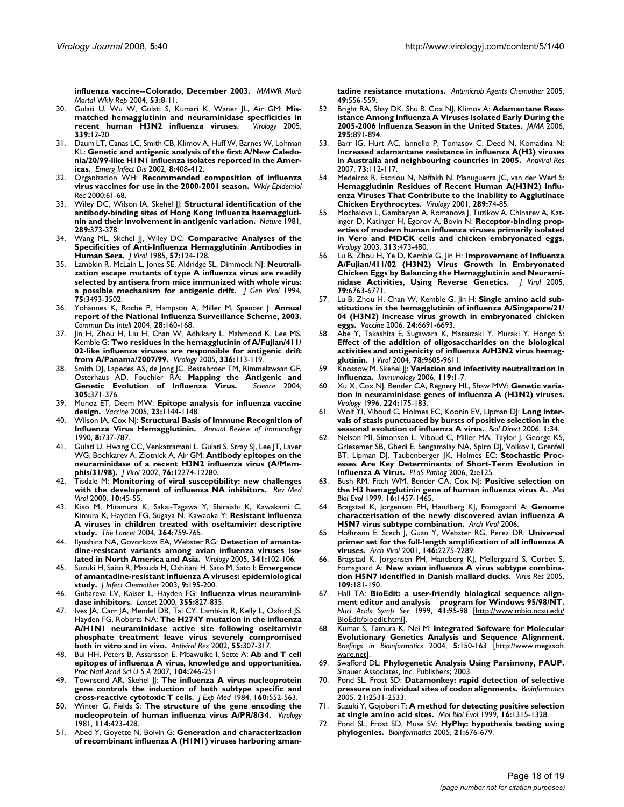**[influenza vaccine--Colorado, December 2003.](http://www.ncbi.nlm.nih.gov/entrez/query.fcgi?cmd=Retrieve&db=PubMed&dopt=Abstract&list_uids=14724559)** *MMWR Morb Mortal Wkly Rep* 2004, **53:**8-11.

- 30. Gulati U, Wu W, Gulati S, Kumari K, Waner JL, Air GM: **[Mis](http://www.ncbi.nlm.nih.gov/entrez/query.fcgi?cmd=Retrieve&db=PubMed&dopt=Abstract&list_uids=15950996)[matched hemagglutinin and neuraminidase specificities in](http://www.ncbi.nlm.nih.gov/entrez/query.fcgi?cmd=Retrieve&db=PubMed&dopt=Abstract&list_uids=15950996) [recent human H3N2 influenza viruses.](http://www.ncbi.nlm.nih.gov/entrez/query.fcgi?cmd=Retrieve&db=PubMed&dopt=Abstract&list_uids=15950996)** *Virology* 2005, **339:**12-20.
- 31. Daum LT, Canas LC, Smith CB, Klimov A, Huff W, Barnes W, Lohman KL: **[Genetic and antigenic analysis of the first A/New Caledo](http://www.ncbi.nlm.nih.gov/entrez/query.fcgi?cmd=Retrieve&db=PubMed&dopt=Abstract&list_uids=11971776)[nia/20/99-like H1N1 influenza isolates reported in the Amer](http://www.ncbi.nlm.nih.gov/entrez/query.fcgi?cmd=Retrieve&db=PubMed&dopt=Abstract&list_uids=11971776)[icas.](http://www.ncbi.nlm.nih.gov/entrez/query.fcgi?cmd=Retrieve&db=PubMed&dopt=Abstract&list_uids=11971776)** *Emerg Infect Dis* 2002, **8:**408-412.
- 32. Organization WH: **Recommended composition of influenza virus vaccines for use in the 2000-2001 season.** *Wkly Epidemiol Rec* 2000:61-68.
- 33. Wiley DC, Wilson IA, Skehel J: [Structural identification of the](http://www.ncbi.nlm.nih.gov/entrez/query.fcgi?cmd=Retrieve&db=PubMed&dopt=Abstract&list_uids=6162101) **[antibody-binding sites of Hong Kong influenza haemaggluti](http://www.ncbi.nlm.nih.gov/entrez/query.fcgi?cmd=Retrieve&db=PubMed&dopt=Abstract&list_uids=6162101)[nin and their involvement in antigenic variation.](http://www.ncbi.nlm.nih.gov/entrez/query.fcgi?cmd=Retrieve&db=PubMed&dopt=Abstract&list_uids=6162101)** *Nature* 1981, **289:**373-378.
- 34. Wang ML, Skehel JJ, Wiley DC: **Comparative Analyses of the Specificities of Anti-Influenza Hemagglutinin Antibodies in Human Sera.** *J Virol* 1985, **57:**124-128.
- 35. Lambkin R, McLain L, Jones SE, Aldridge SL, Dimmock NJ: **[Neutrali](http://www.ncbi.nlm.nih.gov/entrez/query.fcgi?cmd=Retrieve&db=PubMed&dopt=Abstract&list_uids=7527838)[zation escape mutants of type A influenza virus are readily](http://www.ncbi.nlm.nih.gov/entrez/query.fcgi?cmd=Retrieve&db=PubMed&dopt=Abstract&list_uids=7527838) selected by antisera from mice immunized with whole virus: [a possible mechanism for antigenic drift.](http://www.ncbi.nlm.nih.gov/entrez/query.fcgi?cmd=Retrieve&db=PubMed&dopt=Abstract&list_uids=7527838)** *J Gen Virol* 1994, **75:**3493-3502.
- 36. Yohannes K, Roche P, Hampson A, Miller M, Spencer J: **[Annual](http://www.ncbi.nlm.nih.gov/entrez/query.fcgi?cmd=Retrieve&db=PubMed&dopt=Abstract&list_uids=15460951) [report of the National Influenza Surveillance Scheme, 2003.](http://www.ncbi.nlm.nih.gov/entrez/query.fcgi?cmd=Retrieve&db=PubMed&dopt=Abstract&list_uids=15460951)** *Commun Dis Intell* 2004, **28:**160-168.
- 37. Jin H, Zhou H, Liu H, Chan W, Adhikary L, Mahmood K, Lee MS, Kemble G: **[Two residues in the hemagglutinin of A/Fujian/411/](http://www.ncbi.nlm.nih.gov/entrez/query.fcgi?cmd=Retrieve&db=PubMed&dopt=Abstract&list_uids=15866076) [02-like influenza viruses are responsible for antigenic drift](http://www.ncbi.nlm.nih.gov/entrez/query.fcgi?cmd=Retrieve&db=PubMed&dopt=Abstract&list_uids=15866076) [from A/Panama/2007/99.](http://www.ncbi.nlm.nih.gov/entrez/query.fcgi?cmd=Retrieve&db=PubMed&dopt=Abstract&list_uids=15866076)** *Virology* 2005, **336:**113-119.
- 38. Smith DJ, Lapedes AS, de Jong JC, Bestebroer TM, Rimmelzwaan GF, Osterhaus AD, Fouchier RA: **[Mapping the Antigenic and](http://www.ncbi.nlm.nih.gov/entrez/query.fcgi?cmd=Retrieve&db=PubMed&dopt=Abstract&list_uids=15218094) [Genetic Evolution of Influenza Virus.](http://www.ncbi.nlm.nih.gov/entrez/query.fcgi?cmd=Retrieve&db=PubMed&dopt=Abstract&list_uids=15218094)** *Science* 2004, **305:**371-376.
- 39. Munoz ET, Deem MW: **[Epitope analysis for influenza vaccine](http://www.ncbi.nlm.nih.gov/entrez/query.fcgi?cmd=Retrieve&db=PubMed&dopt=Abstract&list_uids=15629357) [design.](http://www.ncbi.nlm.nih.gov/entrez/query.fcgi?cmd=Retrieve&db=PubMed&dopt=Abstract&list_uids=15629357)** *Vaccine* 2005, **23:**1144-1148.
- 40. Wilson IA, Cox NJ: **[Structural Basis of Immune Recognition of](http://www.ncbi.nlm.nih.gov/entrez/query.fcgi?cmd=Retrieve&db=PubMed&dopt=Abstract&list_uids=2188678) [Influenza Virus Hemagglutinin.](http://www.ncbi.nlm.nih.gov/entrez/query.fcgi?cmd=Retrieve&db=PubMed&dopt=Abstract&list_uids=2188678)** *Annual Review of Immunology* 1990, **8:**737-787.
- 41. Gulati U, Hwang CC, Venkatramani L, Gulati S, Stray SJ, Lee JT, Laver WG, Bochkarev A, Zlotnick A, Air GM: **[Antibody epitopes on the](http://www.ncbi.nlm.nih.gov/entrez/query.fcgi?cmd=Retrieve&db=PubMed&dopt=Abstract&list_uids=12414967) [neuraminidase of a recent H3N2 influenza virus \(A/Mem](http://www.ncbi.nlm.nih.gov/entrez/query.fcgi?cmd=Retrieve&db=PubMed&dopt=Abstract&list_uids=12414967)[phis/31/98\).](http://www.ncbi.nlm.nih.gov/entrez/query.fcgi?cmd=Retrieve&db=PubMed&dopt=Abstract&list_uids=12414967)** *J Virol* 2002, **76:**12274-12280.
- 42. Tisdale M: **[Monitoring of viral susceptibility: new challenges](http://www.ncbi.nlm.nih.gov/entrez/query.fcgi?cmd=Retrieve&db=PubMed&dopt=Abstract&list_uids=10654004) [with the development of influenza NA inhibitors.](http://www.ncbi.nlm.nih.gov/entrez/query.fcgi?cmd=Retrieve&db=PubMed&dopt=Abstract&list_uids=10654004)** *Rev Med Virol* 2000, **10:**45-55.
- 43. Kiso M, Mitamura K, Sakai-Tagawa Y, Shiraishi K, Kawakami C, Kimura K, Hayden FG, Sugaya N, Kawaoka Y: **Resistant influenza A viruses in children treated with oseltamivir: descriptive study.** *The Lancet* 2004, **364:**759-765.
- 44. Ilyushina NA, Govorkova EA, Webster RG: **[Detection of amanta](http://www.ncbi.nlm.nih.gov/entrez/query.fcgi?cmd=Retrieve&db=PubMed&dopt=Abstract&list_uids=16081121)[dine-resistant variants among avian influenza viruses iso](http://www.ncbi.nlm.nih.gov/entrez/query.fcgi?cmd=Retrieve&db=PubMed&dopt=Abstract&list_uids=16081121)[lated in North America and Asia.](http://www.ncbi.nlm.nih.gov/entrez/query.fcgi?cmd=Retrieve&db=PubMed&dopt=Abstract&list_uids=16081121)** *Virology* 2005, **341:**102-106.
- 45. Suzuki H, Saito R, Masuda H, Oshitani H, Sato M, Sato I: **[Emergence](http://www.ncbi.nlm.nih.gov/entrez/query.fcgi?cmd=Retrieve&db=PubMed&dopt=Abstract&list_uids=14513385) [of amantadine-resistant influenza A viruses: epidemiological](http://www.ncbi.nlm.nih.gov/entrez/query.fcgi?cmd=Retrieve&db=PubMed&dopt=Abstract&list_uids=14513385) [study.](http://www.ncbi.nlm.nih.gov/entrez/query.fcgi?cmd=Retrieve&db=PubMed&dopt=Abstract&list_uids=14513385)** *J Infect Chemother* 2003, **9:**195-200.
- 46. Gubareva LV, Kaiser L, Hayden FG: **[Influenza virus neuramini](http://www.ncbi.nlm.nih.gov/entrez/query.fcgi?cmd=Retrieve&db=PubMed&dopt=Abstract&list_uids=10711940)[dase inhibitors.](http://www.ncbi.nlm.nih.gov/entrez/query.fcgi?cmd=Retrieve&db=PubMed&dopt=Abstract&list_uids=10711940)** *Lancet* 2000, **355:**827-835.
- 47. Ives JA, Carr JA, Mendel DB, Tai CY, Lambkin R, Kelly L, Oxford JS, Hayden FG, Roberts NA: **[The H274Y mutation in the influenza](http://www.ncbi.nlm.nih.gov/entrez/query.fcgi?cmd=Retrieve&db=PubMed&dopt=Abstract&list_uids=12103431) [A/H1N1 neuraminidase active site following oseltamivir](http://www.ncbi.nlm.nih.gov/entrez/query.fcgi?cmd=Retrieve&db=PubMed&dopt=Abstract&list_uids=12103431) phosphate treatment leave virus severely compromised [both in vitro and in vivo.](http://www.ncbi.nlm.nih.gov/entrez/query.fcgi?cmd=Retrieve&db=PubMed&dopt=Abstract&list_uids=12103431)** *Antiviral Res* 2002, **55:**307-317.
- 48. Bui HH, Peters B, Assarsson E, Mbawuike I, Sette A: **[Ab and T cell](http://www.ncbi.nlm.nih.gov/entrez/query.fcgi?cmd=Retrieve&db=PubMed&dopt=Abstract&list_uids=17200302) [epitopes of influenza A virus, knowledge and opportunities.](http://www.ncbi.nlm.nih.gov/entrez/query.fcgi?cmd=Retrieve&db=PubMed&dopt=Abstract&list_uids=17200302)** *Proc Natl Acad Sci U S A* 2007, **104:**246-251.
- 49. Townsend AR, Skehel ||: [The influenza A virus nucleoprotein](http://www.ncbi.nlm.nih.gov/entrez/query.fcgi?cmd=Retrieve&db=PubMed&dopt=Abstract&list_uids=6206181) **[gene controls the induction of both subtype specific and](http://www.ncbi.nlm.nih.gov/entrez/query.fcgi?cmd=Retrieve&db=PubMed&dopt=Abstract&list_uids=6206181) [cross-reactive cytotoxic T cells.](http://www.ncbi.nlm.nih.gov/entrez/query.fcgi?cmd=Retrieve&db=PubMed&dopt=Abstract&list_uids=6206181)** *J Exp Med* 1984, **160:**552-563.
- 50. Winter G, Fields S: **[The structure of the gene encoding the](http://www.ncbi.nlm.nih.gov/entrez/query.fcgi?cmd=Retrieve&db=PubMed&dopt=Abstract&list_uids=7292985) [nucleoprotein of human influenza virus A/PR/8/34.](http://www.ncbi.nlm.nih.gov/entrez/query.fcgi?cmd=Retrieve&db=PubMed&dopt=Abstract&list_uids=7292985)** *Virology* 1981, **114:**423-428.
- 51. Abed Y, Goyette N, Boivin G: **[Generation and characterization](http://www.ncbi.nlm.nih.gov/entrez/query.fcgi?cmd=Retrieve&db=PubMed&dopt=Abstract&list_uids=15673732) [of recombinant influenza A \(H1N1\) viruses harboring aman-](http://www.ncbi.nlm.nih.gov/entrez/query.fcgi?cmd=Retrieve&db=PubMed&dopt=Abstract&list_uids=15673732)**

**[tadine resistance mutations.](http://www.ncbi.nlm.nih.gov/entrez/query.fcgi?cmd=Retrieve&db=PubMed&dopt=Abstract&list_uids=15673732)** *Antimicrob Agents Chemother* 2005, **49:**556-559.

- 52. Bright RA, Shay DK, Shu B, Cox NJ, Klimov A: **[Adamantane Reas](http://www.ncbi.nlm.nih.gov/entrez/query.fcgi?cmd=Retrieve&db=PubMed&dopt=Abstract&list_uids=16456087)[istance Among Influenza A Viruses Isolated Early During the](http://www.ncbi.nlm.nih.gov/entrez/query.fcgi?cmd=Retrieve&db=PubMed&dopt=Abstract&list_uids=16456087) [2005-2006 Influenza Season in the United States.](http://www.ncbi.nlm.nih.gov/entrez/query.fcgi?cmd=Retrieve&db=PubMed&dopt=Abstract&list_uids=16456087)** *JAMA* 2006, **295:**891-894.
- 53. Barr IG, Hurt AC, Iannello P, Tomasov C, Deed N, Komadina N: **[Increased adamantane resistance in influenza A\(H3\) viruses](http://www.ncbi.nlm.nih.gov/entrez/query.fcgi?cmd=Retrieve&db=PubMed&dopt=Abstract&list_uids=16963130) [in Australia and neighbouring countries in 2005.](http://www.ncbi.nlm.nih.gov/entrez/query.fcgi?cmd=Retrieve&db=PubMed&dopt=Abstract&list_uids=16963130)** *Antiviral Res* 2007, **73:**112-117.
- 54. Medeiros R, Escriou N, Naffakh N, Manuguerra JC, van der Werf S: **[Hemagglutinin Residues of Recent Human A\(H3N2\) Influ](http://www.ncbi.nlm.nih.gov/entrez/query.fcgi?cmd=Retrieve&db=PubMed&dopt=Abstract&list_uids=11601919)enza Viruses That Contribute to the Inability to Agglutinate [Chicken Erythrocytes.](http://www.ncbi.nlm.nih.gov/entrez/query.fcgi?cmd=Retrieve&db=PubMed&dopt=Abstract&list_uids=11601919)** *Virology* 2001, **289:**74-85.
- 55. Mochalova L, Gambaryan A, Romanova J, Tuzikov A, Chinarev A, Katinger D, Katinger H, Egorov A, Bovin N: **[Receptor-binding prop](http://www.ncbi.nlm.nih.gov/entrez/query.fcgi?cmd=Retrieve&db=PubMed&dopt=Abstract&list_uids=12954214)erties of modern human influenza viruses primarily isolated [in Vero and MDCK cells and chicken embryonated eggs.](http://www.ncbi.nlm.nih.gov/entrez/query.fcgi?cmd=Retrieve&db=PubMed&dopt=Abstract&list_uids=12954214)** *Virology* 2003, **313:**473-480.
- 56. Lu B, Zhou H, Ye D, Kemble G, Jin H: **[Improvement of Influenza](http://www.ncbi.nlm.nih.gov/entrez/query.fcgi?cmd=Retrieve&db=PubMed&dopt=Abstract&list_uids=15890915) [A/Fujian/411/02 \(H3N2\) Virus Growth in Embryonated](http://www.ncbi.nlm.nih.gov/entrez/query.fcgi?cmd=Retrieve&db=PubMed&dopt=Abstract&list_uids=15890915) Chicken Eggs by Balancing the Hemagglutinin and Neurami[nidase Activities, Using Reverse Genetics.](http://www.ncbi.nlm.nih.gov/entrez/query.fcgi?cmd=Retrieve&db=PubMed&dopt=Abstract&list_uids=15890915)** *J Virol* 2005, **79:**6763-6771.
- 57. Lu B, Zhou H, Chan W, Kemble G, Jin H: **[Single amino acid sub](http://www.ncbi.nlm.nih.gov/entrez/query.fcgi?cmd=Retrieve&db=PubMed&dopt=Abstract&list_uids=16814431)[stitutions in the hemagglutinin of influenza A/Singapore/21/](http://www.ncbi.nlm.nih.gov/entrez/query.fcgi?cmd=Retrieve&db=PubMed&dopt=Abstract&list_uids=16814431) 04 (H3N2) increase virus growth in embryonated chicken [eggs.](http://www.ncbi.nlm.nih.gov/entrez/query.fcgi?cmd=Retrieve&db=PubMed&dopt=Abstract&list_uids=16814431)** *Vaccine* 2006, **24:**6691-6693.
- 58. Abe Y, Takashita E, Sugawara K, Matsuzaki Y, Muraki Y, Hongo S: **[Effect of the addition of oligosaccharides on the biological](http://www.ncbi.nlm.nih.gov/entrez/query.fcgi?cmd=Retrieve&db=PubMed&dopt=Abstract&list_uids=15331693) activities and antigenicity of influenza A/H3N2 virus hemag[glutinin.](http://www.ncbi.nlm.nih.gov/entrez/query.fcgi?cmd=Retrieve&db=PubMed&dopt=Abstract&list_uids=15331693)** *J Virol* 2004, **78:**9605-9611.
- 59. Knossow M, Skehel JJ: **[Variation and infectivity neutralization in](http://www.ncbi.nlm.nih.gov/entrez/query.fcgi?cmd=Retrieve&db=PubMed&dopt=Abstract&list_uids=16925526) [influenza.](http://www.ncbi.nlm.nih.gov/entrez/query.fcgi?cmd=Retrieve&db=PubMed&dopt=Abstract&list_uids=16925526)** *Immunology* 2006, **119:**1-7.
- 60. Xu X, Cox NJ, Bender CA, Regnery HL, Shaw MW: **[Genetic varia](http://www.ncbi.nlm.nih.gov/entrez/query.fcgi?cmd=Retrieve&db=PubMed&dopt=Abstract&list_uids=8862412)[tion in neuraminidase genes of influenza A \(H3N2\) viruses.](http://www.ncbi.nlm.nih.gov/entrez/query.fcgi?cmd=Retrieve&db=PubMed&dopt=Abstract&list_uids=8862412)** *Virology* 1996, **224:**175-183.
- 61. Wolf YI, Viboud C, Holmes EC, Koonin EV, Lipman DJ: **[Long inter](http://www.ncbi.nlm.nih.gov/entrez/query.fcgi?cmd=Retrieve&db=PubMed&dopt=Abstract&list_uids=17067369)[vals of stasis punctuated by bursts of positive selection in the](http://www.ncbi.nlm.nih.gov/entrez/query.fcgi?cmd=Retrieve&db=PubMed&dopt=Abstract&list_uids=17067369) [seasonal evolution of influenza A virus.](http://www.ncbi.nlm.nih.gov/entrez/query.fcgi?cmd=Retrieve&db=PubMed&dopt=Abstract&list_uids=17067369)** *Biol Direct* 2006, **1:**34.
- 62. Nelson MI, Simonsen L, Viboud C, Miller MA, Taylor J, George KS, Griesemer SB, Ghedi E, Sengamalay NA, Spiro DJ, Volkov I, Grenfell BT, Lipman DJ, Taubenberger JK, Holmes EC: **[Stochastic Proc](http://www.ncbi.nlm.nih.gov/entrez/query.fcgi?cmd=Retrieve&db=PubMed&dopt=Abstract&list_uids=17140286)[esses Are Key Determinants of Short-Term Evolution in](http://www.ncbi.nlm.nih.gov/entrez/query.fcgi?cmd=Retrieve&db=PubMed&dopt=Abstract&list_uids=17140286) [Influenza A Virus.](http://www.ncbi.nlm.nih.gov/entrez/query.fcgi?cmd=Retrieve&db=PubMed&dopt=Abstract&list_uids=17140286)** *PLoS Pathog* 2006, **2:**e125.
- 63. Bush RM, Fitch WM, Bender CA, Cox NJ: **[Positive selection on](http://www.ncbi.nlm.nih.gov/entrez/query.fcgi?cmd=Retrieve&db=PubMed&dopt=Abstract&list_uids=10555276) [the H3 hemagglutinin gene of human influenza virus A.](http://www.ncbi.nlm.nih.gov/entrez/query.fcgi?cmd=Retrieve&db=PubMed&dopt=Abstract&list_uids=10555276)** *Mol Biol Evol* 1999, **16:**1457-1465.
- 64. Bragstad K, Jorgensen PH, Handberg KJ, Fomsgaard A: **[Genome](http://www.ncbi.nlm.nih.gov/entrez/query.fcgi?cmd=Retrieve&db=PubMed&dopt=Abstract&list_uids=17115305) [characterisation of the newly discovered avian influenza A](http://www.ncbi.nlm.nih.gov/entrez/query.fcgi?cmd=Retrieve&db=PubMed&dopt=Abstract&list_uids=17115305) [H5N7 virus subtype combination.](http://www.ncbi.nlm.nih.gov/entrez/query.fcgi?cmd=Retrieve&db=PubMed&dopt=Abstract&list_uids=17115305)** *Arch Virol* 2006.
- 65. Hoffmann E, Stech J, Guan Y, Webster RG, Perez DR: **[Universal](http://www.ncbi.nlm.nih.gov/entrez/query.fcgi?cmd=Retrieve&db=PubMed&dopt=Abstract&list_uids=11811679) [primer set for the full-length amplification of all influenza A](http://www.ncbi.nlm.nih.gov/entrez/query.fcgi?cmd=Retrieve&db=PubMed&dopt=Abstract&list_uids=11811679) [viruses.](http://www.ncbi.nlm.nih.gov/entrez/query.fcgi?cmd=Retrieve&db=PubMed&dopt=Abstract&list_uids=11811679)** *Arch Virol* 2001, **146:**2275-2289.
- Bragstad K, Jorgensen PH, Handberg KJ, Mellergaard S, Corbet S, Fomsgaard A: **[New avian influenza A virus subtype combina](http://www.ncbi.nlm.nih.gov/entrez/query.fcgi?cmd=Retrieve&db=PubMed&dopt=Abstract&list_uids=15763149)[tion H5N7 identified in Danish mallard ducks.](http://www.ncbi.nlm.nih.gov/entrez/query.fcgi?cmd=Retrieve&db=PubMed&dopt=Abstract&list_uids=15763149)** *Virus Res* 2005, **109:**181-190.
- 67. Hall TA: **BioEdit: a user-friendly biological sequence alignment editor and analysis program for Windows 95/98/NT.** *Nucl Acids Symp Ser* 1999, **41:**95-98 [[http://www.mbio.ncsu.edu/](http://www.mbio.ncsu.edu/BioEdit/bioedit.html) [BioEdit/bioedit.html](http://www.mbio.ncsu.edu/BioEdit/bioedit.html)].
- 68. Kumar S, Tamura K, Nei M: **[Integrated Software for Molecular](http://www.ncbi.nlm.nih.gov/entrez/query.fcgi?cmd=Retrieve&db=PubMed&dopt=Abstract&list_uids=15260895) [Evolutionary Genetics Analysis and Sequence Alignment.](http://www.ncbi.nlm.nih.gov/entrez/query.fcgi?cmd=Retrieve&db=PubMed&dopt=Abstract&list_uids=15260895)** *Briefings in Bioinformatics* 2004, **5:**150-163 [\[http://www.megasoft](http://www.megasoftware.net) [ware.net](http://www.megasoftware.net)].
- 69. Swafford DL: **Phylogenetic Analysis Using Parsimony, PAUP.** Sinauer Associates, Inc. Publishers; 2003.
- 70. Pond SL, Frost SD: **[Datamonkey: rapid detection of selective](http://www.ncbi.nlm.nih.gov/entrez/query.fcgi?cmd=Retrieve&db=PubMed&dopt=Abstract&list_uids=15713735) [pressure on individual sites of codon alignments.](http://www.ncbi.nlm.nih.gov/entrez/query.fcgi?cmd=Retrieve&db=PubMed&dopt=Abstract&list_uids=15713735)** *Bioinformatics* 2005, **21:**2531-2533.
- 71. Suzuki Y, Gojobori T: **[A method for detecting positive selection](http://www.ncbi.nlm.nih.gov/entrez/query.fcgi?cmd=Retrieve&db=PubMed&dopt=Abstract&list_uids=10563013) [at single amino acid sites.](http://www.ncbi.nlm.nih.gov/entrez/query.fcgi?cmd=Retrieve&db=PubMed&dopt=Abstract&list_uids=10563013)** *Mol Biol Evol* 1999, **16:**1315-1328.
- 72. Pond SL, Frost SD, Muse SV: **[HyPhy: hypothesis testing using](http://www.ncbi.nlm.nih.gov/entrez/query.fcgi?cmd=Retrieve&db=PubMed&dopt=Abstract&list_uids=15509596) [phylogenies.](http://www.ncbi.nlm.nih.gov/entrez/query.fcgi?cmd=Retrieve&db=PubMed&dopt=Abstract&list_uids=15509596)** *Bioinformatics* 2005, **21:**676-679.